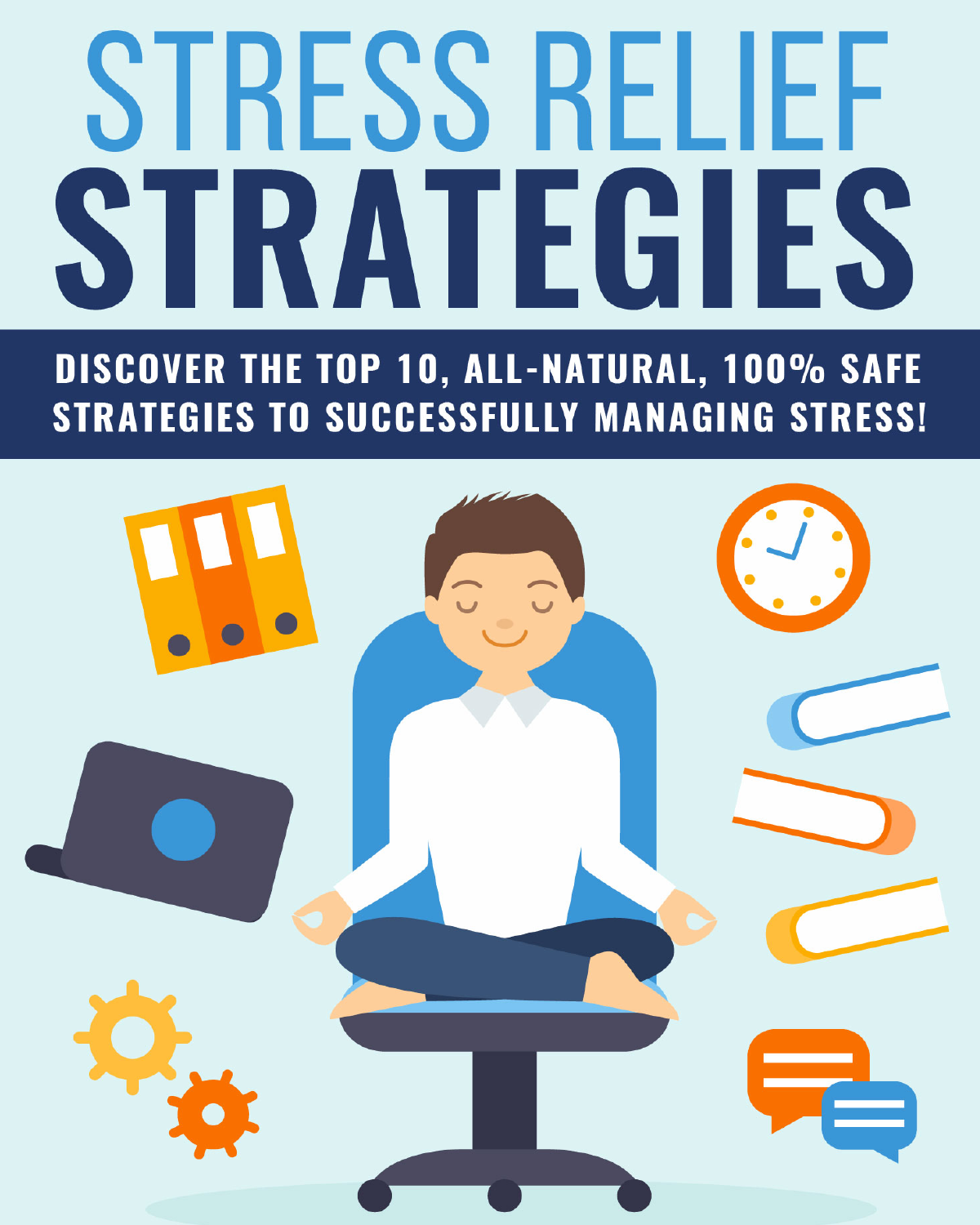# STRESS RELIEF STRATEGIES

DISCOVER THE TOP 10, ALL-NATURAL, 100% SAFE **STRATEGIES TO SUCCESSFULLY MANAGING STRESS!** 

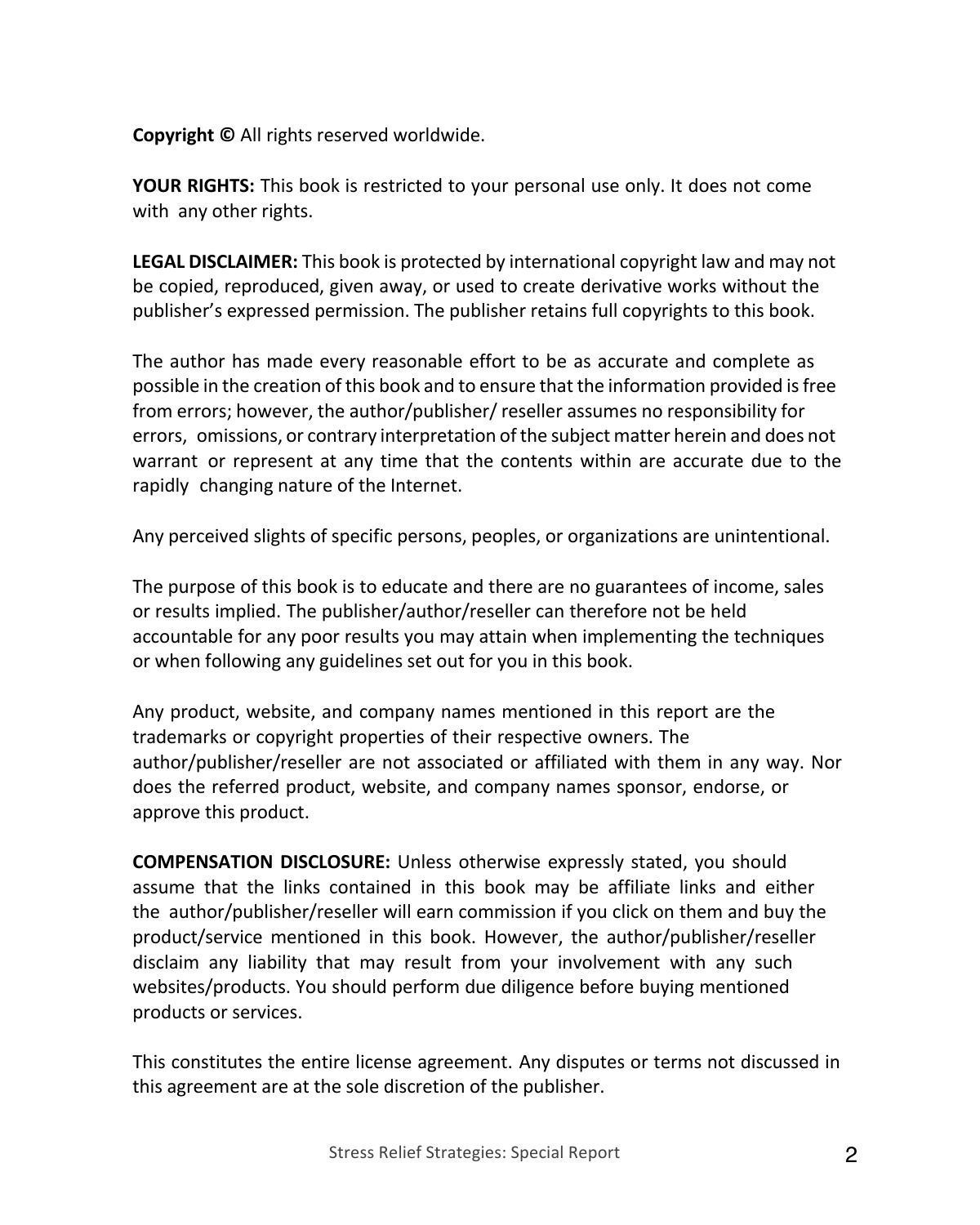**Copyright ©** All rights reserved worldwide.

**YOUR RIGHTS:** This book is restricted to your personal use only. It does not come with any other rights.

**LEGAL DISCLAIMER:** This book is protected by international copyright law and may not be copied, reproduced, given away, or used to create derivative works without the publisher's expressed permission. The publisher retains full copyrights to this book.

The author has made every reasonable effort to be as accurate and complete as possible in the creation of this book and to ensure that the information provided isfree from errors; however, the author/publisher/ reseller assumes no responsibility for errors, omissions, or contrary interpretation of the subject matter herein and does not warrant or represent at any time that the contents within are accurate due to the rapidly changing nature of the Internet.

Any perceived slights of specific persons, peoples, or organizations are unintentional.

The purpose of this book is to educate and there are no guarantees of income, sales or results implied. The publisher/author/reseller can therefore not be held accountable for any poor results you may attain when implementing the techniques or when following any guidelines set out for you in this book.

Any product, website, and company names mentioned in this report are the trademarks or copyright properties of their respective owners. The author/publisher/reseller are not associated or affiliated with them in any way. Nor does the referred product, website, and company names sponsor, endorse, or approve this product.

**COMPENSATION DISCLOSURE:** Unless otherwise expressly stated, you should assume that the links contained in this book may be affiliate links and either the author/publisher/reseller will earn commission if you click on them and buy the product/service mentioned in this book. However, the author/publisher/reseller disclaim any liability that may result from your involvement with any such websites/products. You should perform due diligence before buying mentioned products or services.

This constitutes the entire license agreement. Any disputes or terms not discussed in this agreement are at the sole discretion of the publisher.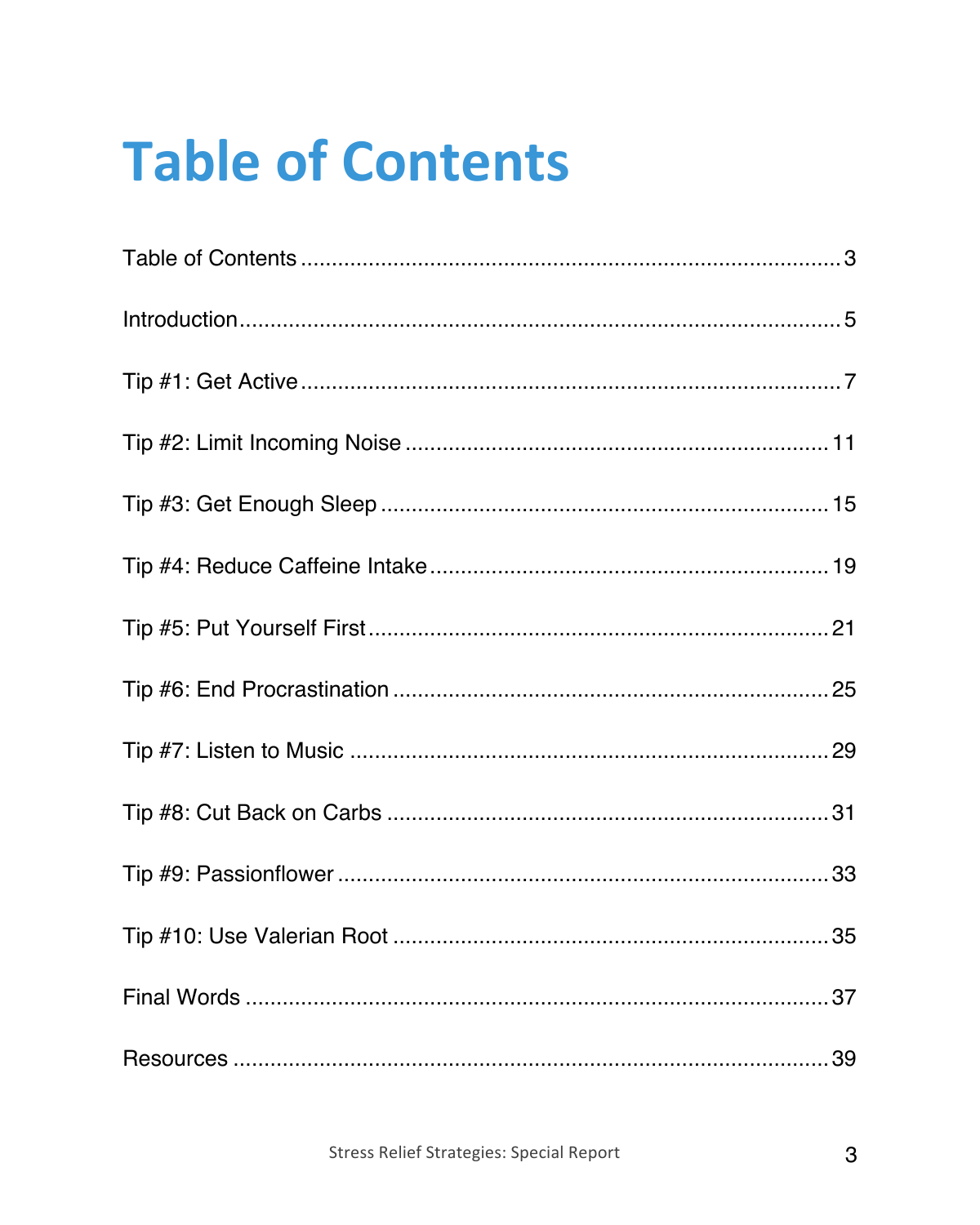### **Table of Contents**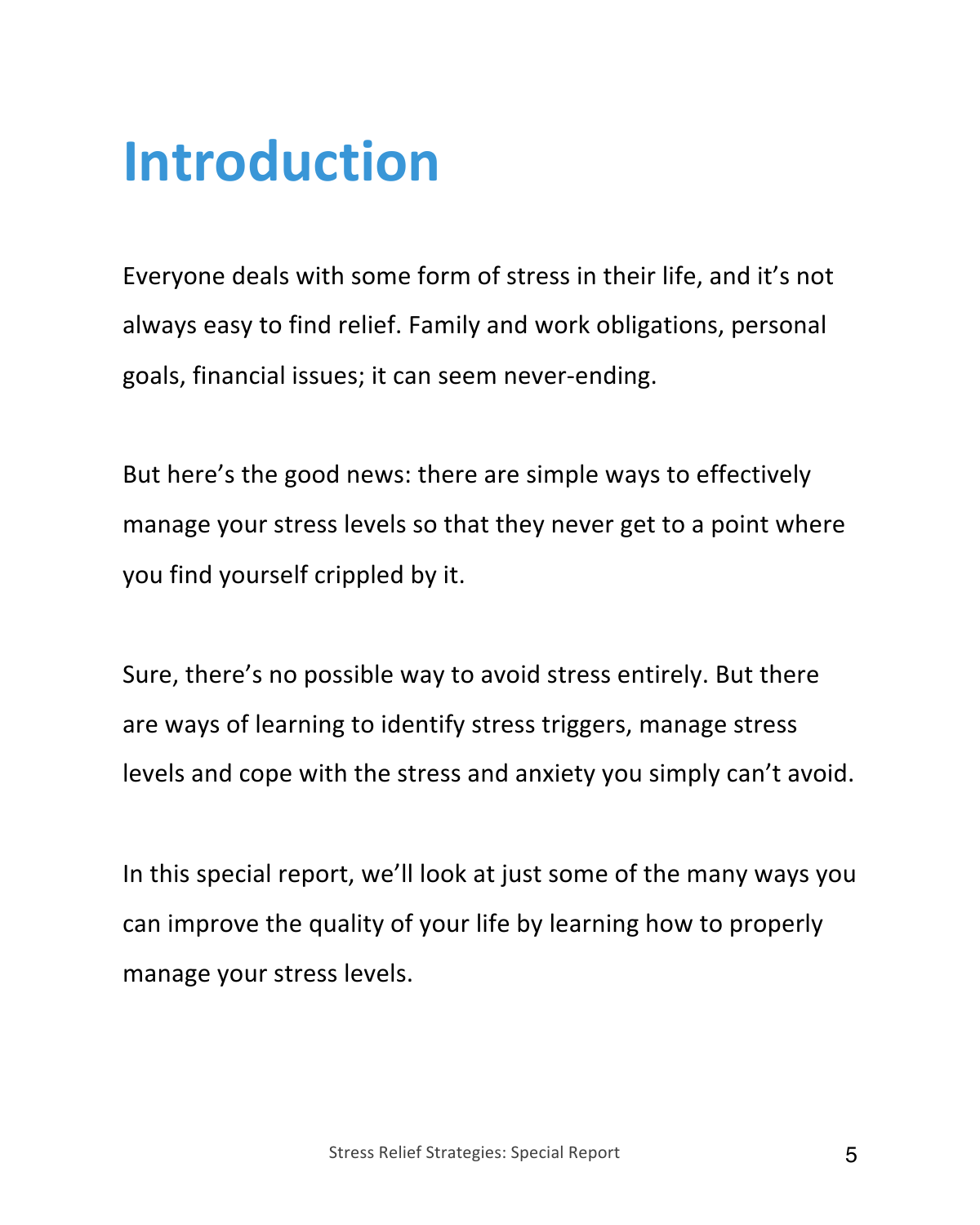#### **Introduction**

Everyone deals with some form of stress in their life, and it's not always easy to find relief. Family and work obligations, personal goals, financial issues; it can seem never-ending.

But here's the good news: there are simple ways to effectively manage your stress levels so that they never get to a point where you find yourself crippled by it.

Sure, there's no possible way to avoid stress entirely. But there are ways of learning to identify stress triggers, manage stress levels and cope with the stress and anxiety you simply can't avoid.

In this special report, we'll look at just some of the many ways you can improve the quality of your life by learning how to properly manage your stress levels.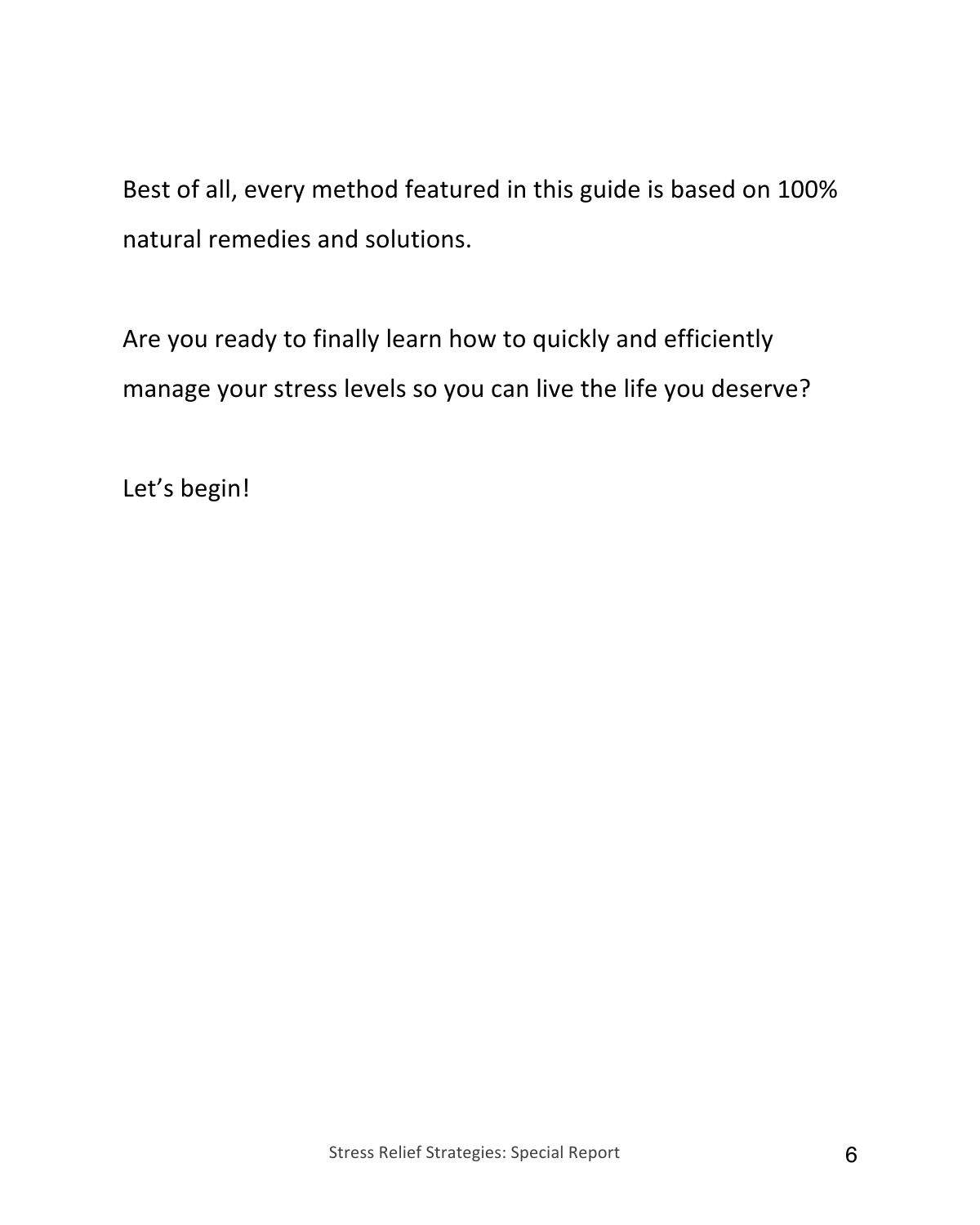Best of all, every method featured in this guide is based on 100% natural remedies and solutions.

Are you ready to finally learn how to quickly and efficiently manage your stress levels so you can live the life you deserve?

Let's begin!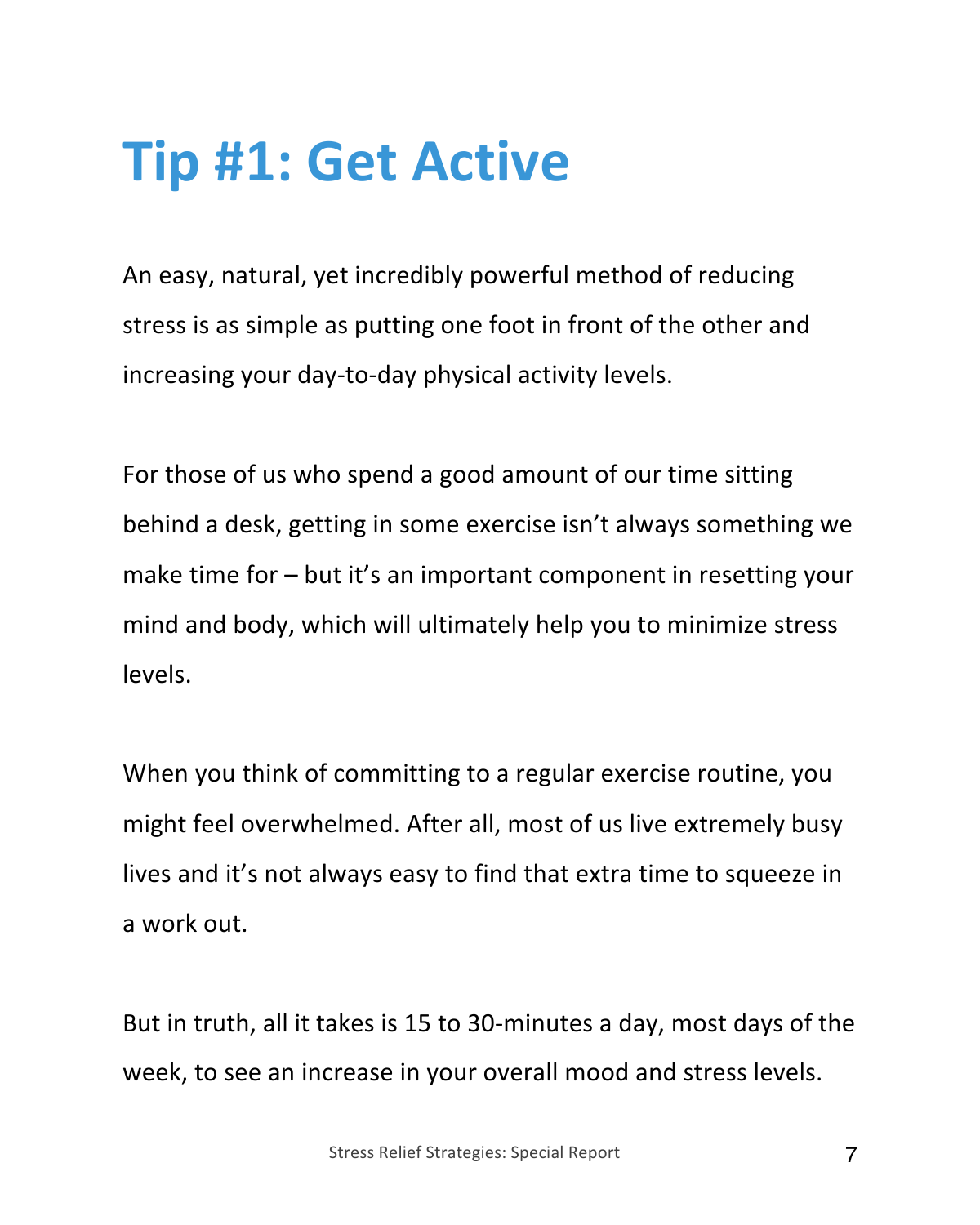#### **Tip #1: Get Active**

An easy, natural, yet incredibly powerful method of reducing stress is as simple as putting one foot in front of the other and increasing your day-to-day physical activity levels.

For those of us who spend a good amount of our time sitting behind a desk, getting in some exercise isn't always something we make time for – but it's an important component in resetting your mind and body, which will ultimately help you to minimize stress levels.

When you think of committing to a regular exercise routine, you might feel overwhelmed. After all, most of us live extremely busy lives and it's not always easy to find that extra time to squeeze in a work out.

But in truth, all it takes is 15 to 30-minutes a day, most days of the week, to see an increase in your overall mood and stress levels.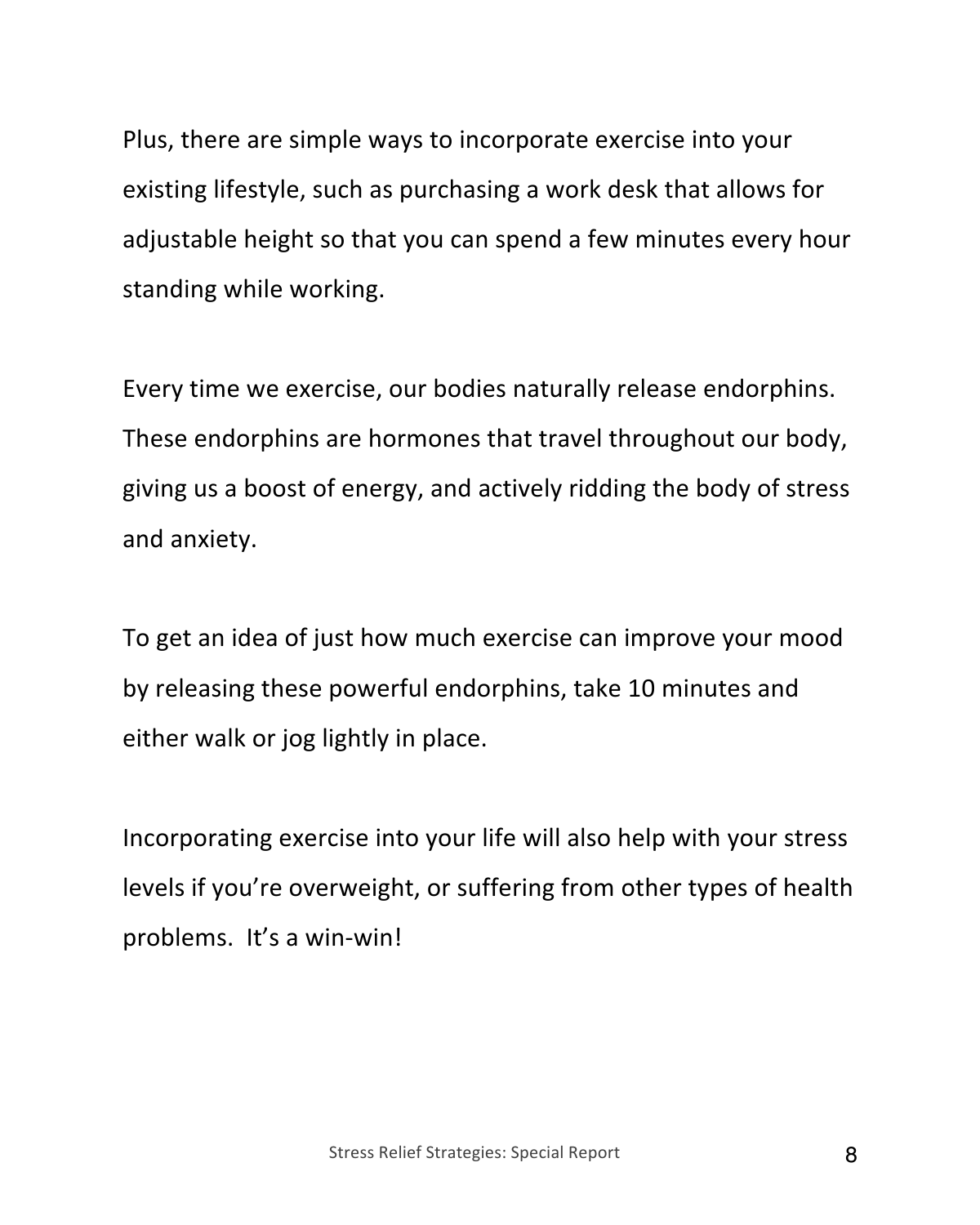Plus, there are simple ways to incorporate exercise into your existing lifestyle, such as purchasing a work desk that allows for adjustable height so that you can spend a few minutes every hour standing while working.

Every time we exercise, our bodies naturally release endorphins. These endorphins are hormones that travel throughout our body, giving us a boost of energy, and actively ridding the body of stress and anxiety.

To get an idea of just how much exercise can improve your mood by releasing these powerful endorphins, take 10 minutes and either walk or jog lightly in place.

Incorporating exercise into your life will also help with your stress levels if you're overweight, or suffering from other types of health problems. It's a win-win!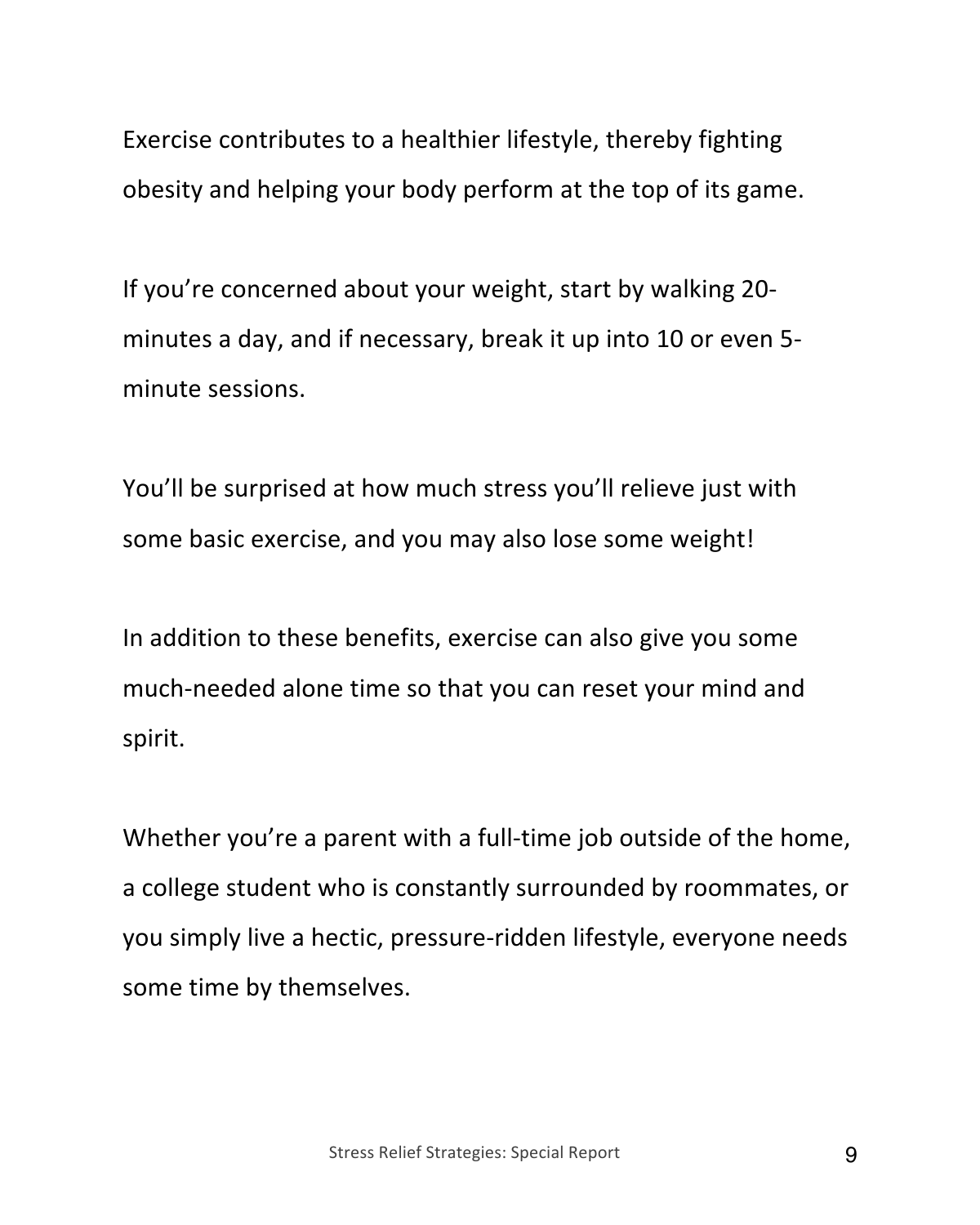Exercise contributes to a healthier lifestyle, thereby fighting obesity and helping your body perform at the top of its game.

If you're concerned about your weight, start by walking 20 minutes a day, and if necessary, break it up into 10 or even 5 minute sessions.

You'll be surprised at how much stress you'll relieve just with some basic exercise, and you may also lose some weight!

In addition to these benefits, exercise can also give you some much-needed alone time so that you can reset your mind and spirit.

Whether you're a parent with a full-time job outside of the home, a college student who is constantly surrounded by roommates, or you simply live a hectic, pressure-ridden lifestyle, everyone needs some time by themselves.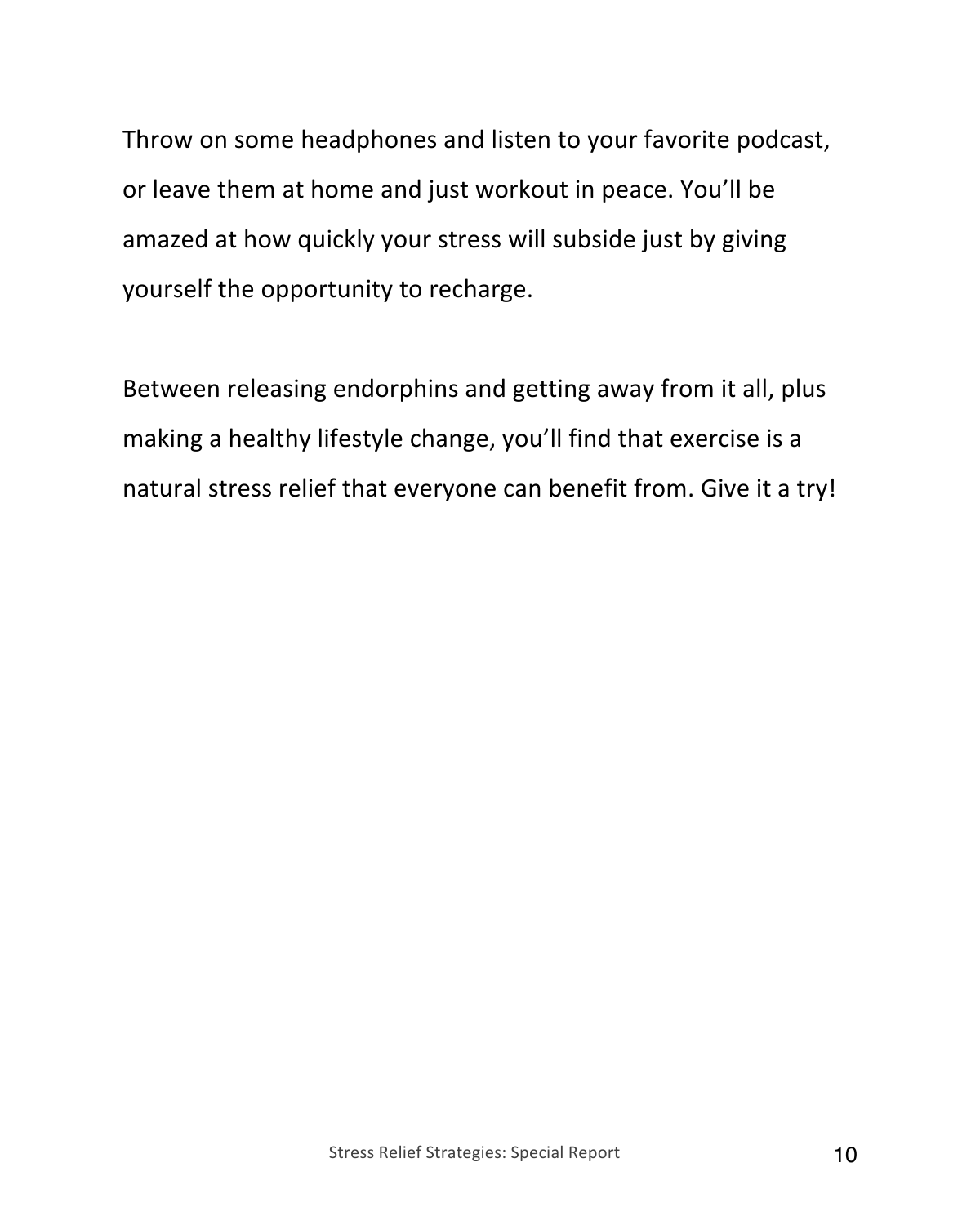Throw on some headphones and listen to your favorite podcast, or leave them at home and just workout in peace. You'll be amazed at how quickly your stress will subside just by giving yourself the opportunity to recharge.

Between releasing endorphins and getting away from it all, plus making a healthy lifestyle change, you'll find that exercise is a natural stress relief that everyone can benefit from. Give it a try!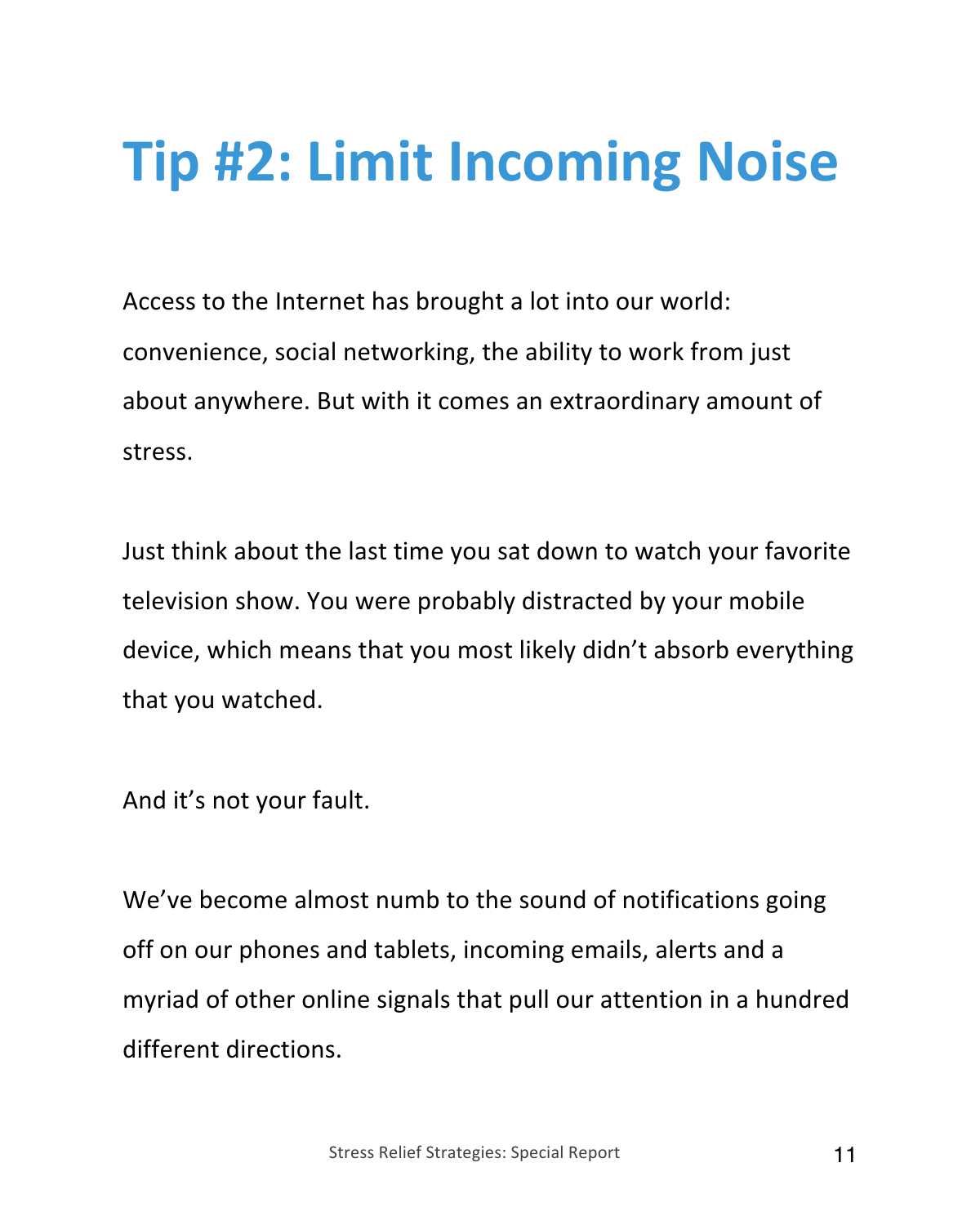## **Tip #2: Limit Incoming Noise**

Access to the Internet has brought a lot into our world: convenience, social networking, the ability to work from just about anywhere. But with it comes an extraordinary amount of stress.

Just think about the last time you sat down to watch your favorite television show. You were probably distracted by your mobile device, which means that you most likely didn't absorb everything that you watched.

And it's not your fault.

We've become almost numb to the sound of notifications going off on our phones and tablets, incoming emails, alerts and a myriad of other online signals that pull our attention in a hundred different directions.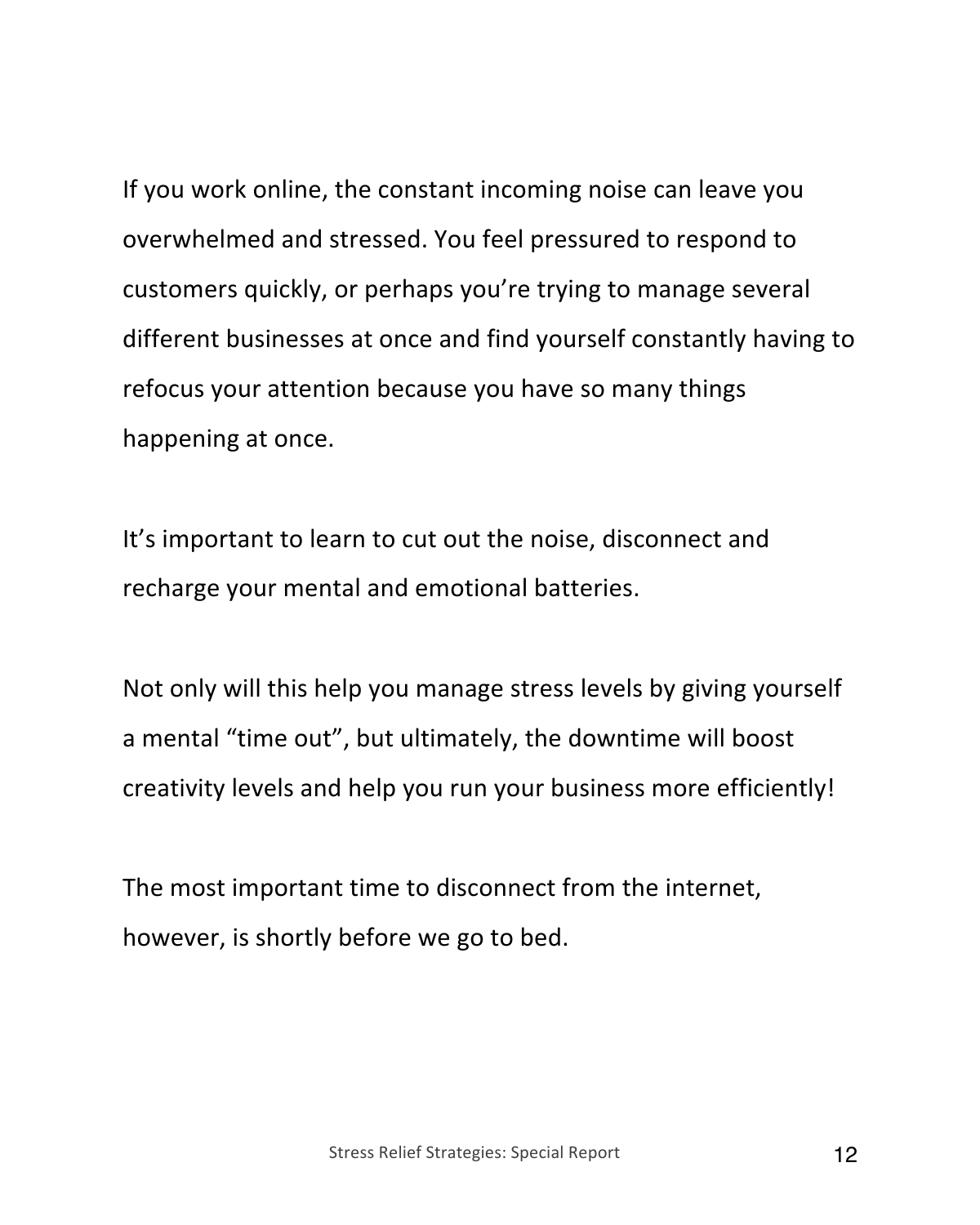If you work online, the constant incoming noise can leave you overwhelmed and stressed. You feel pressured to respond to customers quickly, or perhaps you're trying to manage several different businesses at once and find yourself constantly having to refocus your attention because you have so many things happening at once.

It's important to learn to cut out the noise, disconnect and recharge your mental and emotional batteries.

Not only will this help you manage stress levels by giving yourself a mental "time out", but ultimately, the downtime will boost creativity levels and help you run your business more efficiently!

The most important time to disconnect from the internet, however, is shortly before we go to bed.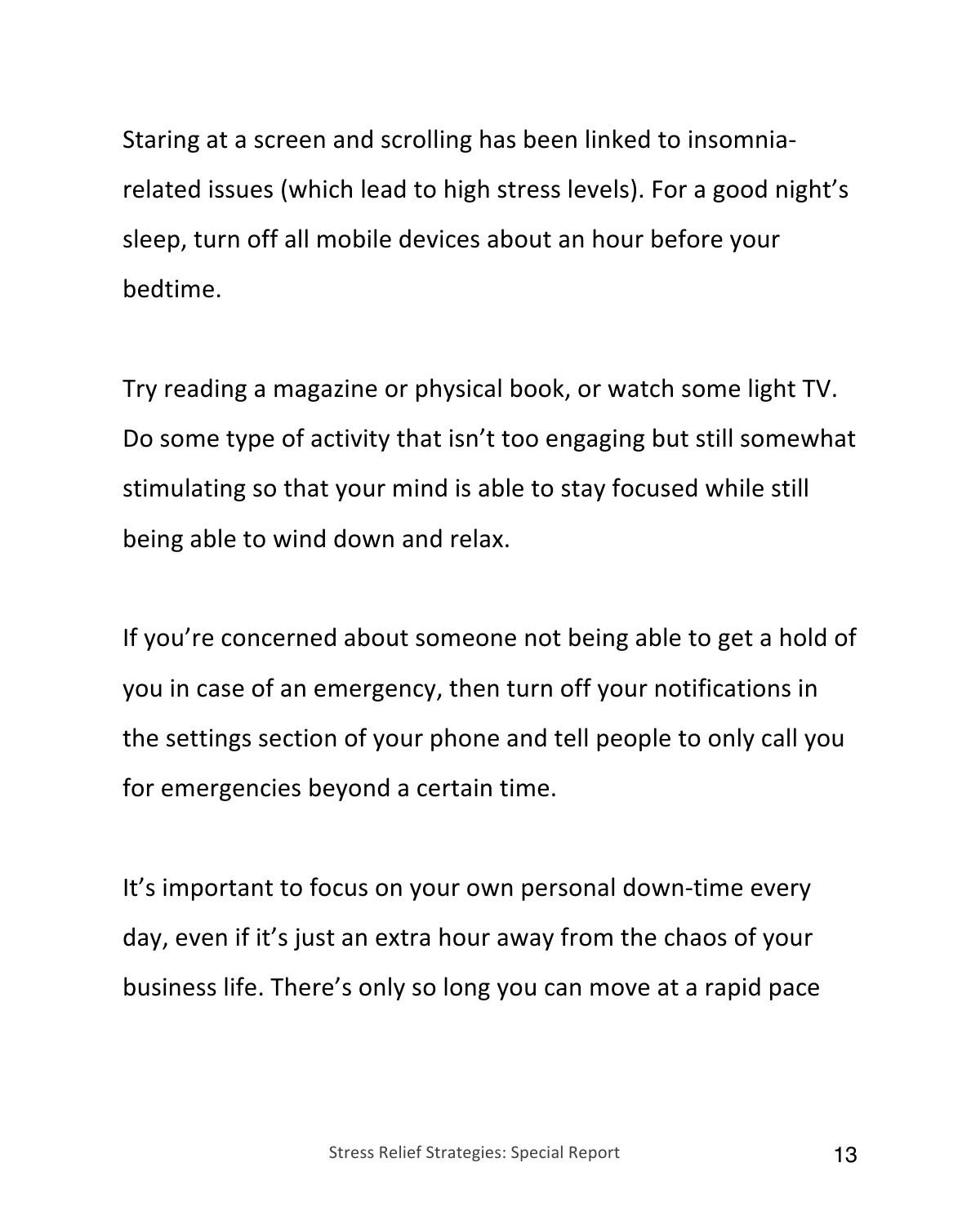Staring at a screen and scrolling has been linked to insomniarelated issues (which lead to high stress levels). For a good night's sleep, turn off all mobile devices about an hour before your bedtime.

Try reading a magazine or physical book, or watch some light TV. Do some type of activity that isn't too engaging but still somewhat stimulating so that your mind is able to stay focused while still being able to wind down and relax.

If you're concerned about someone not being able to get a hold of you in case of an emergency, then turn off your notifications in the settings section of your phone and tell people to only call you for emergencies beyond a certain time.

It's important to focus on your own personal down-time every day, even if it's just an extra hour away from the chaos of your business life. There's only so long you can move at a rapid pace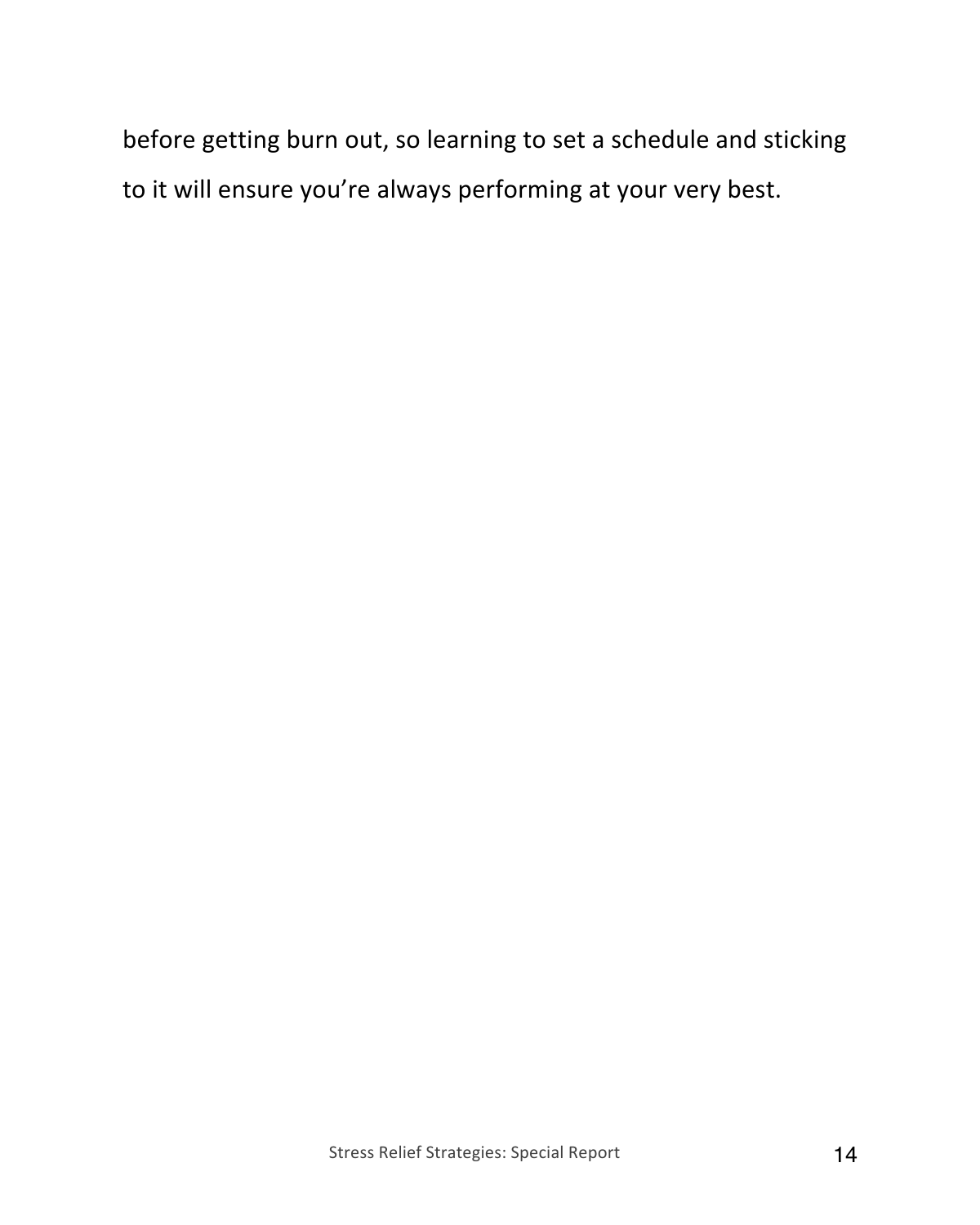before getting burn out, so learning to set a schedule and sticking to it will ensure you're always performing at your very best.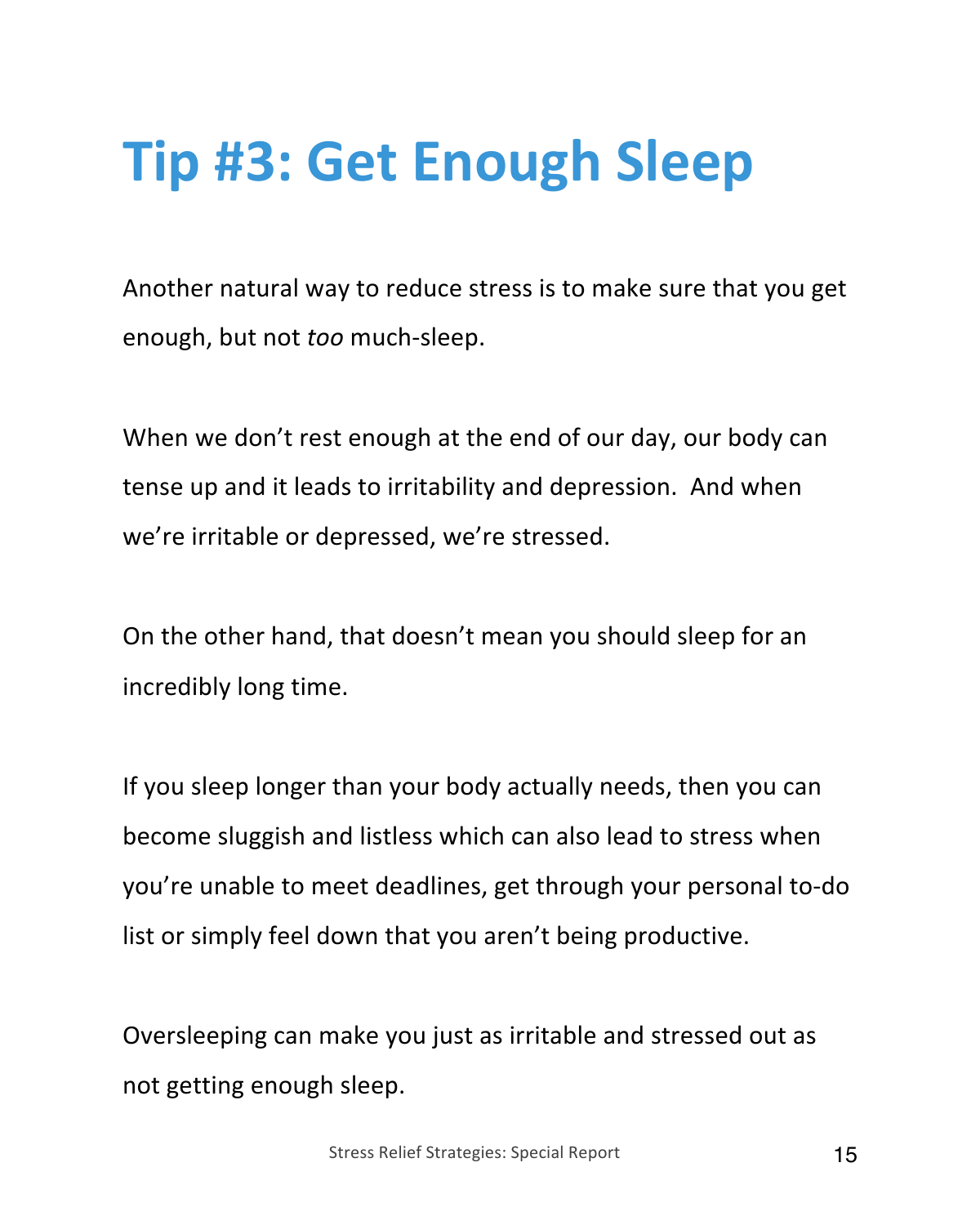#### **Tip #3: Get Enough Sleep**

Another natural way to reduce stress is to make sure that you get enough, but not *too* much-sleep.

When we don't rest enough at the end of our day, our body can tense up and it leads to irritability and depression. And when we're irritable or depressed, we're stressed.

On the other hand, that doesn't mean you should sleep for an incredibly long time.

If you sleep longer than your body actually needs, then you can become sluggish and listless which can also lead to stress when you're unable to meet deadlines, get through your personal to-do list or simply feel down that you aren't being productive.

Oversleeping can make you just as irritable and stressed out as not getting enough sleep.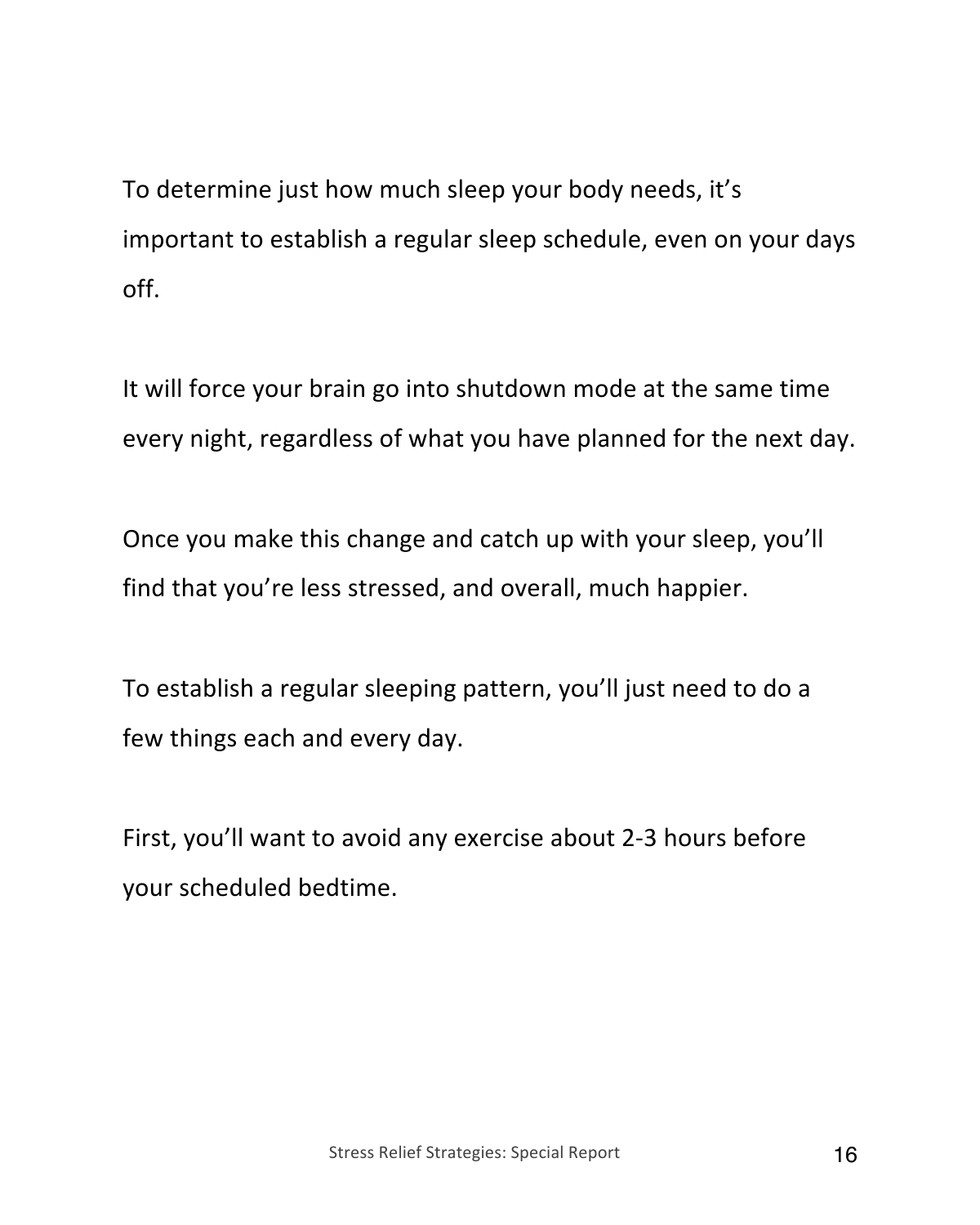To determine just how much sleep your body needs, it's important to establish a regular sleep schedule, even on your days off.

It will force your brain go into shutdown mode at the same time every night, regardless of what you have planned for the next day.

Once you make this change and catch up with your sleep, you'll find that you're less stressed, and overall, much happier.

To establish a regular sleeping pattern, you'll just need to do a few things each and every day.

First, you'll want to avoid any exercise about 2-3 hours before your scheduled bedtime.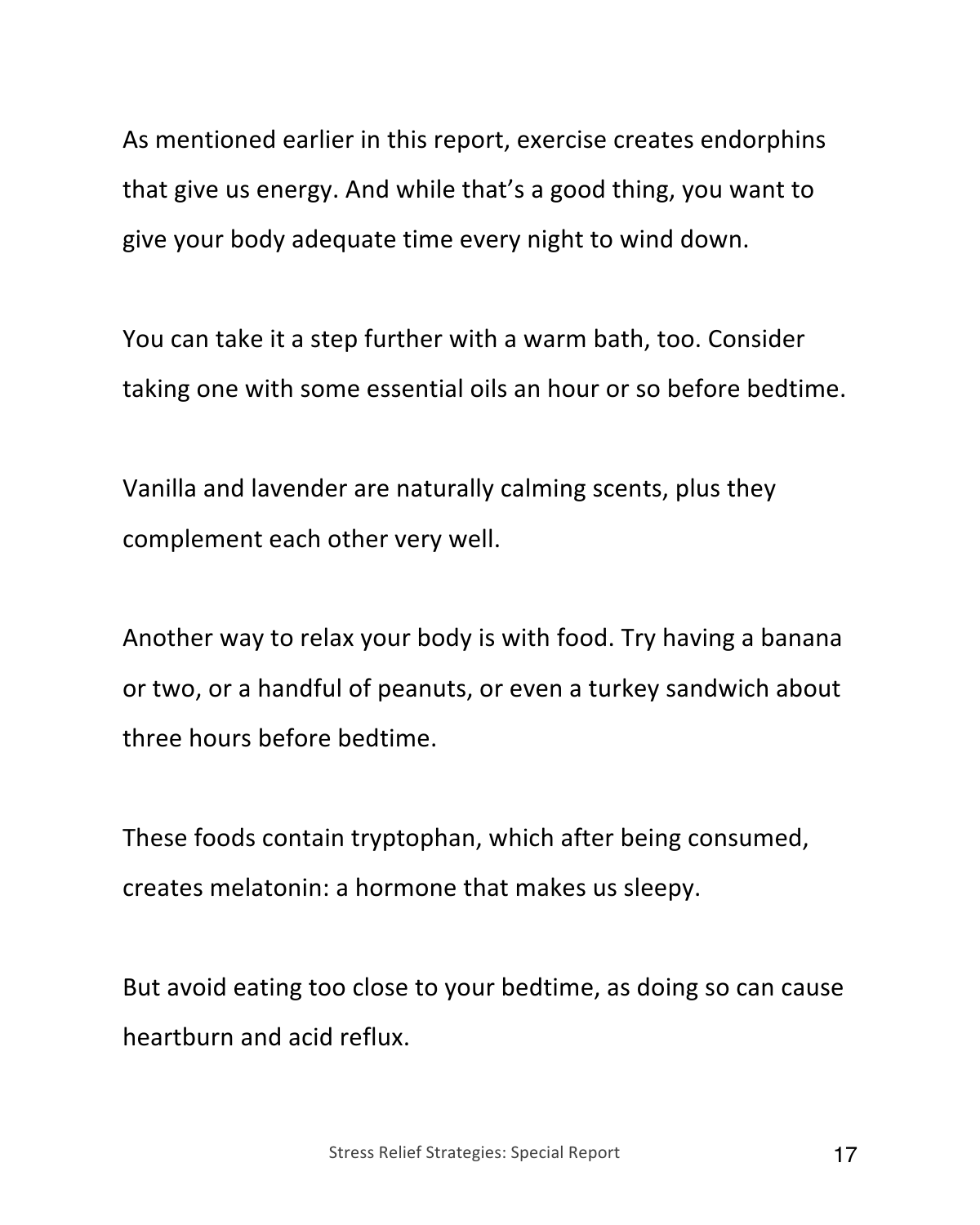As mentioned earlier in this report, exercise creates endorphins that give us energy. And while that's a good thing, you want to give your body adequate time every night to wind down.

You can take it a step further with a warm bath, too. Consider taking one with some essential oils an hour or so before bedtime.

Vanilla and lavender are naturally calming scents, plus they complement each other very well.

Another way to relax your body is with food. Try having a banana or two, or a handful of peanuts, or even a turkey sandwich about three hours before bedtime.

These foods contain tryptophan, which after being consumed, creates melatonin: a hormone that makes us sleepy.

But avoid eating too close to your bedtime, as doing so can cause heartburn and acid reflux.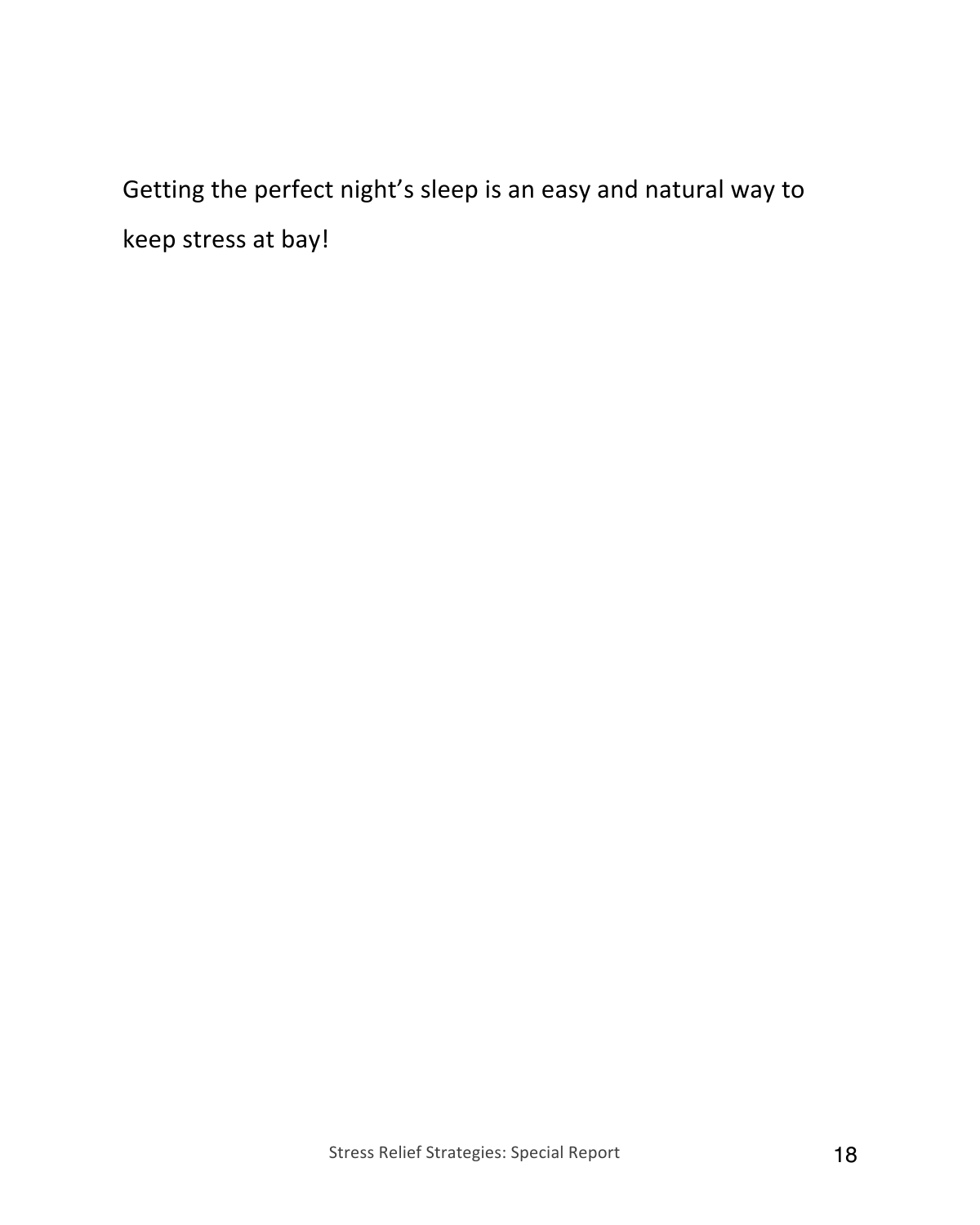Getting the perfect night's sleep is an easy and natural way to keep stress at bay!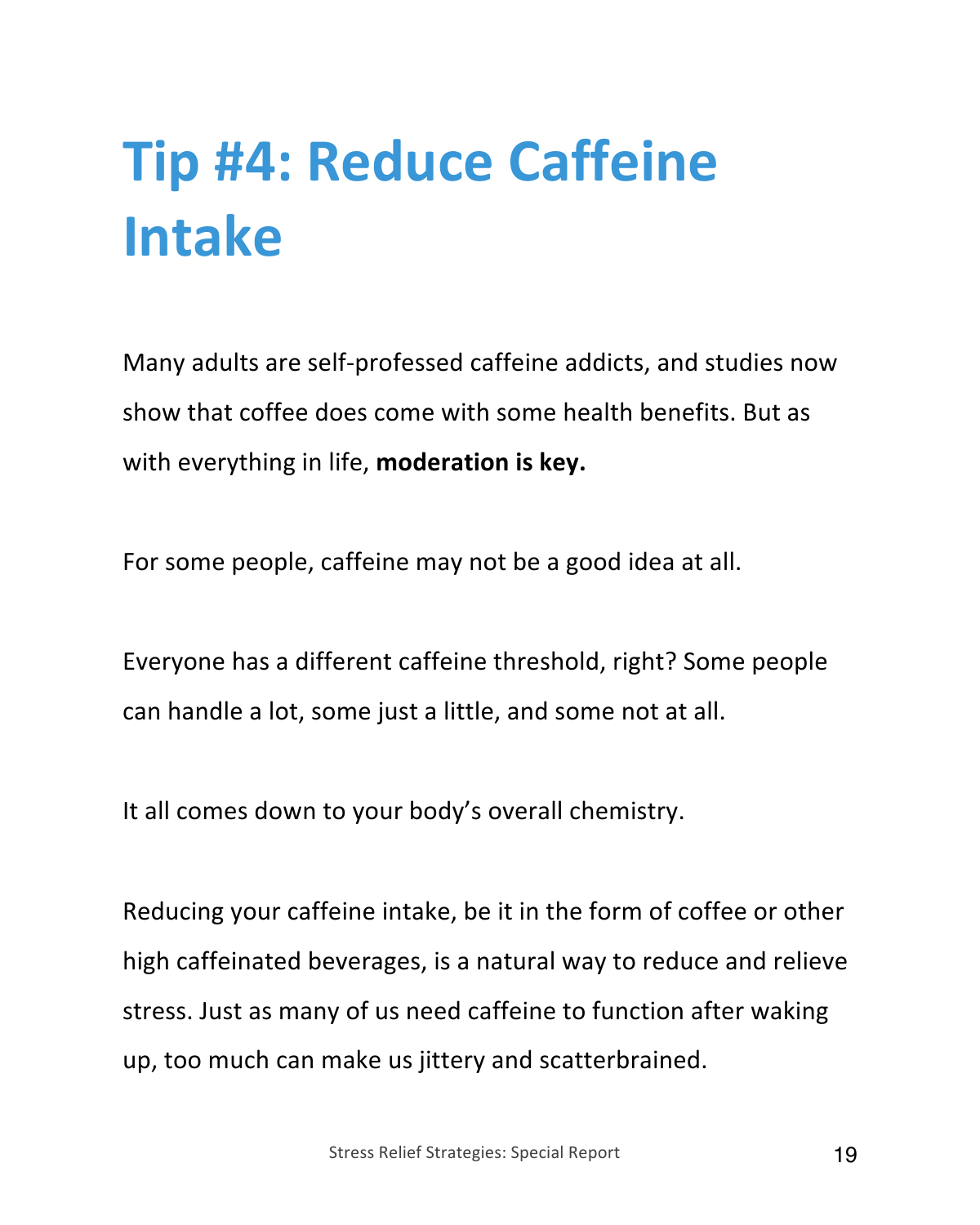## **Tip #4: Reduce Caffeine Intake**

Many adults are self-professed caffeine addicts, and studies now show that coffee does come with some health benefits. But as with everything in life, **moderation is key.**

For some people, caffeine may not be a good idea at all.

Everyone has a different caffeine threshold, right? Some people can handle a lot, some just a little, and some not at all.

It all comes down to your body's overall chemistry.

Reducing your caffeine intake, be it in the form of coffee or other high caffeinated beverages, is a natural way to reduce and relieve stress. Just as many of us need caffeine to function after waking up, too much can make us jittery and scatterbrained.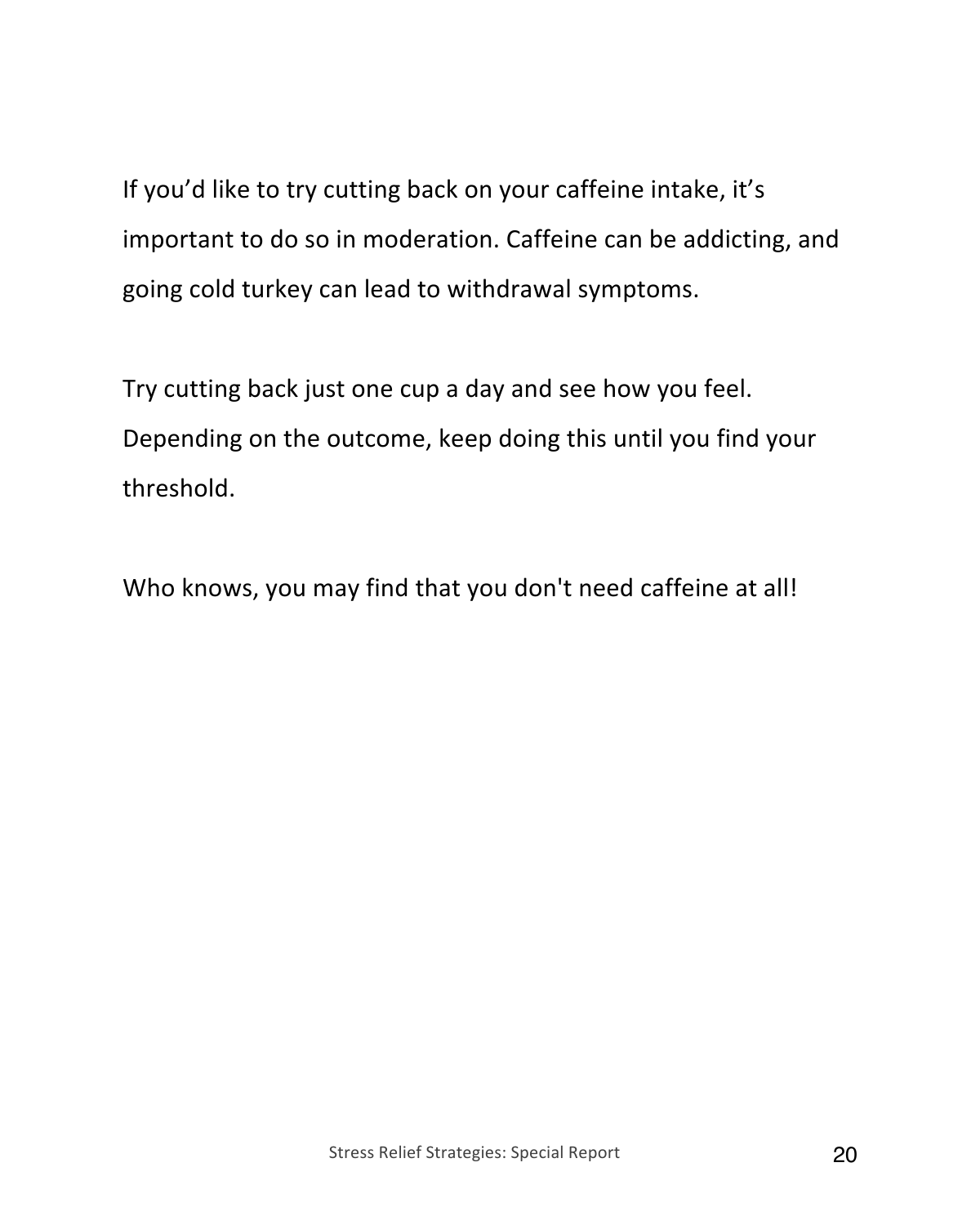If you'd like to try cutting back on your caffeine intake, it's important to do so in moderation. Caffeine can be addicting, and going cold turkey can lead to withdrawal symptoms.

Try cutting back just one cup a day and see how you feel. Depending on the outcome, keep doing this until you find your threshold.

Who knows, you may find that you don't need caffeine at all!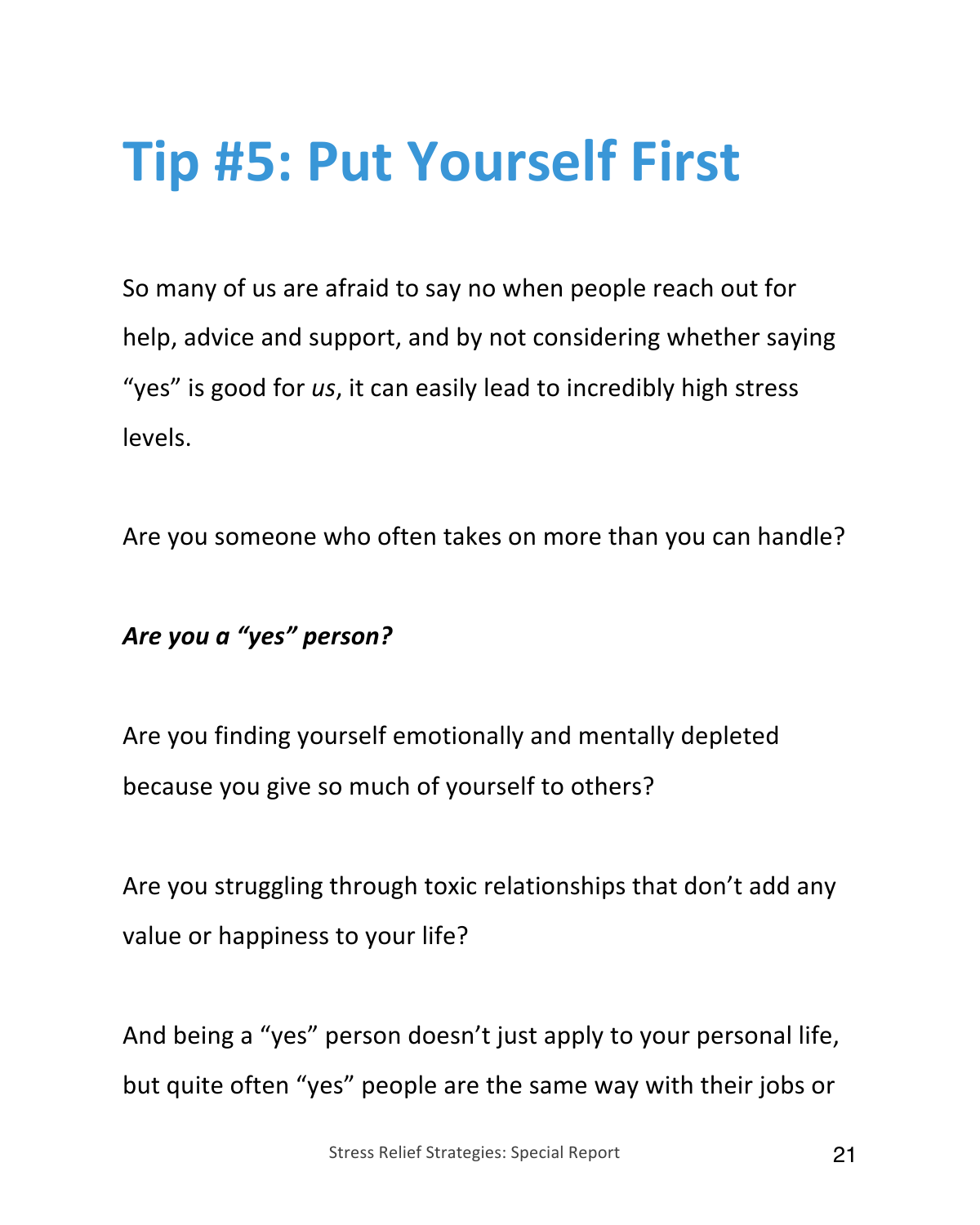### **Tip #5: Put Yourself First**

So many of us are afraid to say no when people reach out for help, advice and support, and by not considering whether saying "yes" is good for *us*, it can easily lead to incredibly high stress levels.

Are you someone who often takes on more than you can handle?

#### *Are you a "yes" person?*

Are you finding yourself emotionally and mentally depleted because you give so much of yourself to others?

Are you struggling through toxic relationships that don't add any value or happiness to your life?

And being a "yes" person doesn't just apply to your personal life, but quite often "yes" people are the same way with their jobs or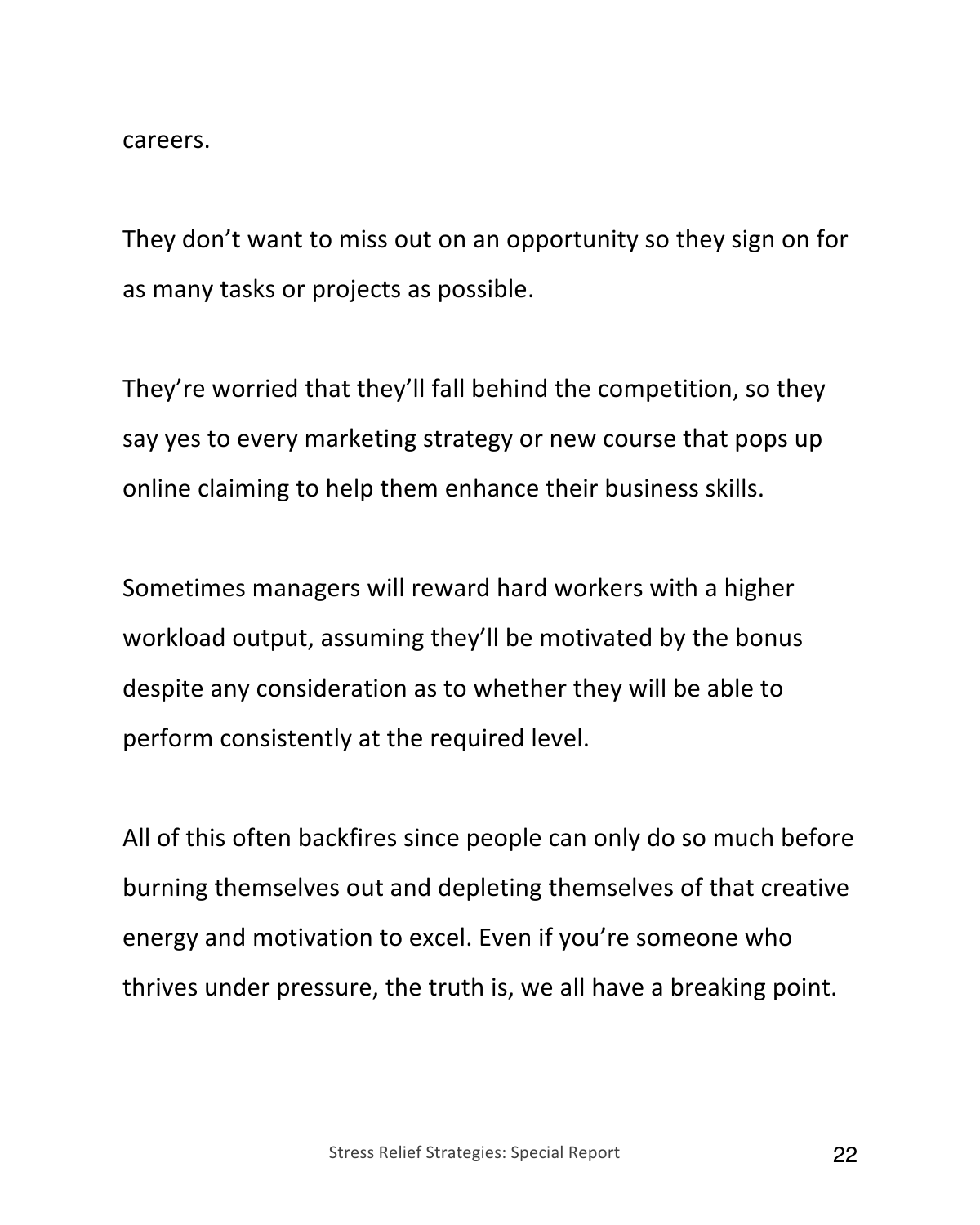careers.

They don't want to miss out on an opportunity so they sign on for as many tasks or projects as possible.

They're worried that they'll fall behind the competition, so they say yes to every marketing strategy or new course that pops up online claiming to help them enhance their business skills.

Sometimes managers will reward hard workers with a higher workload output, assuming they'll be motivated by the bonus despite any consideration as to whether they will be able to perform consistently at the required level.

All of this often backfires since people can only do so much before burning themselves out and depleting themselves of that creative energy and motivation to excel. Even if you're someone who thrives under pressure, the truth is, we all have a breaking point.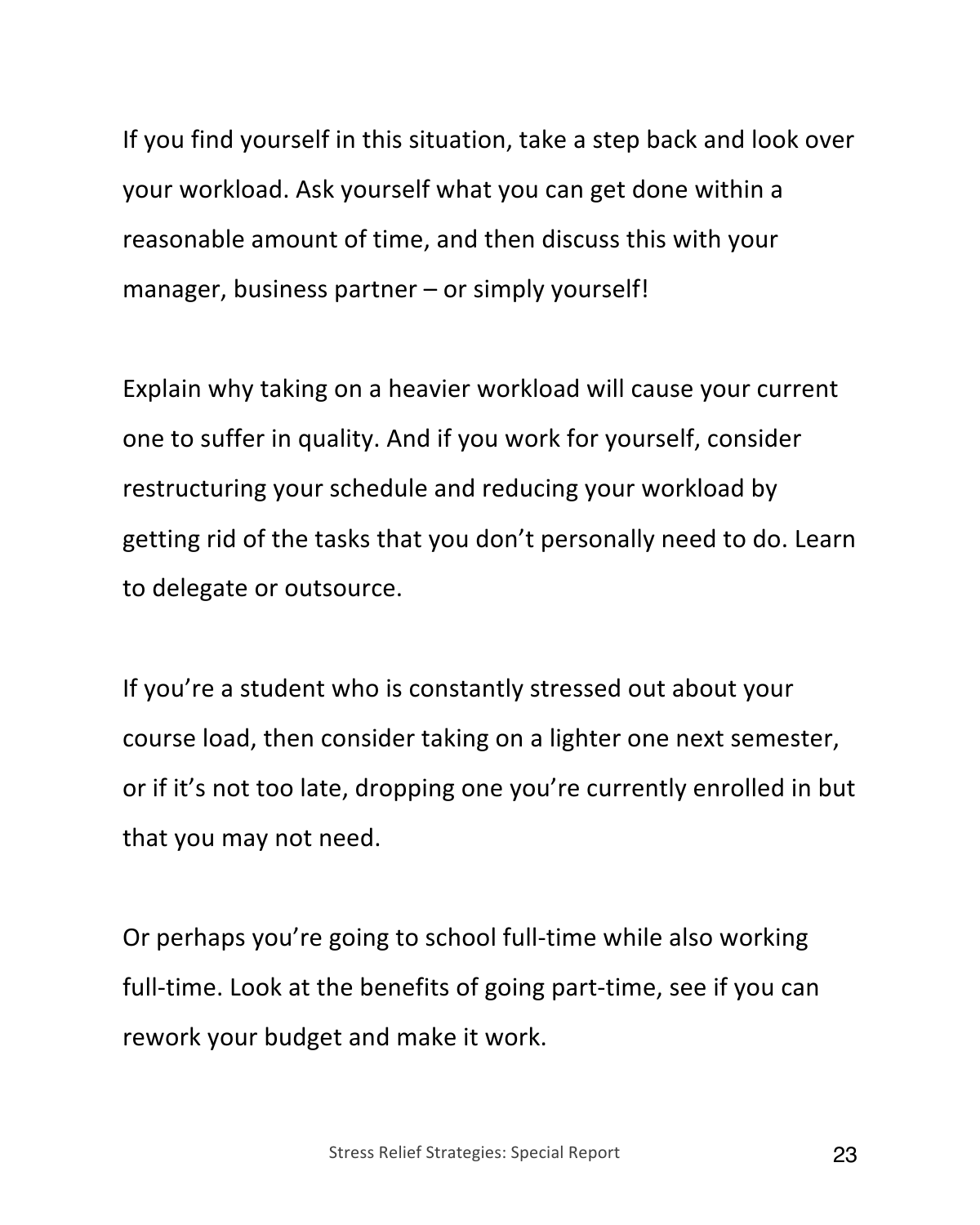If you find yourself in this situation, take a step back and look over your workload. Ask yourself what you can get done within a reasonable amount of time, and then discuss this with your manager, business partner – or simply yourself!

Explain why taking on a heavier workload will cause your current one to suffer in quality. And if you work for yourself, consider restructuring your schedule and reducing your workload by getting rid of the tasks that you don't personally need to do. Learn to delegate or outsource.

If you're a student who is constantly stressed out about your course load, then consider taking on a lighter one next semester, or if it's not too late, dropping one you're currently enrolled in but that you may not need.

Or perhaps you're going to school full-time while also working full-time. Look at the benefits of going part-time, see if you can rework your budget and make it work.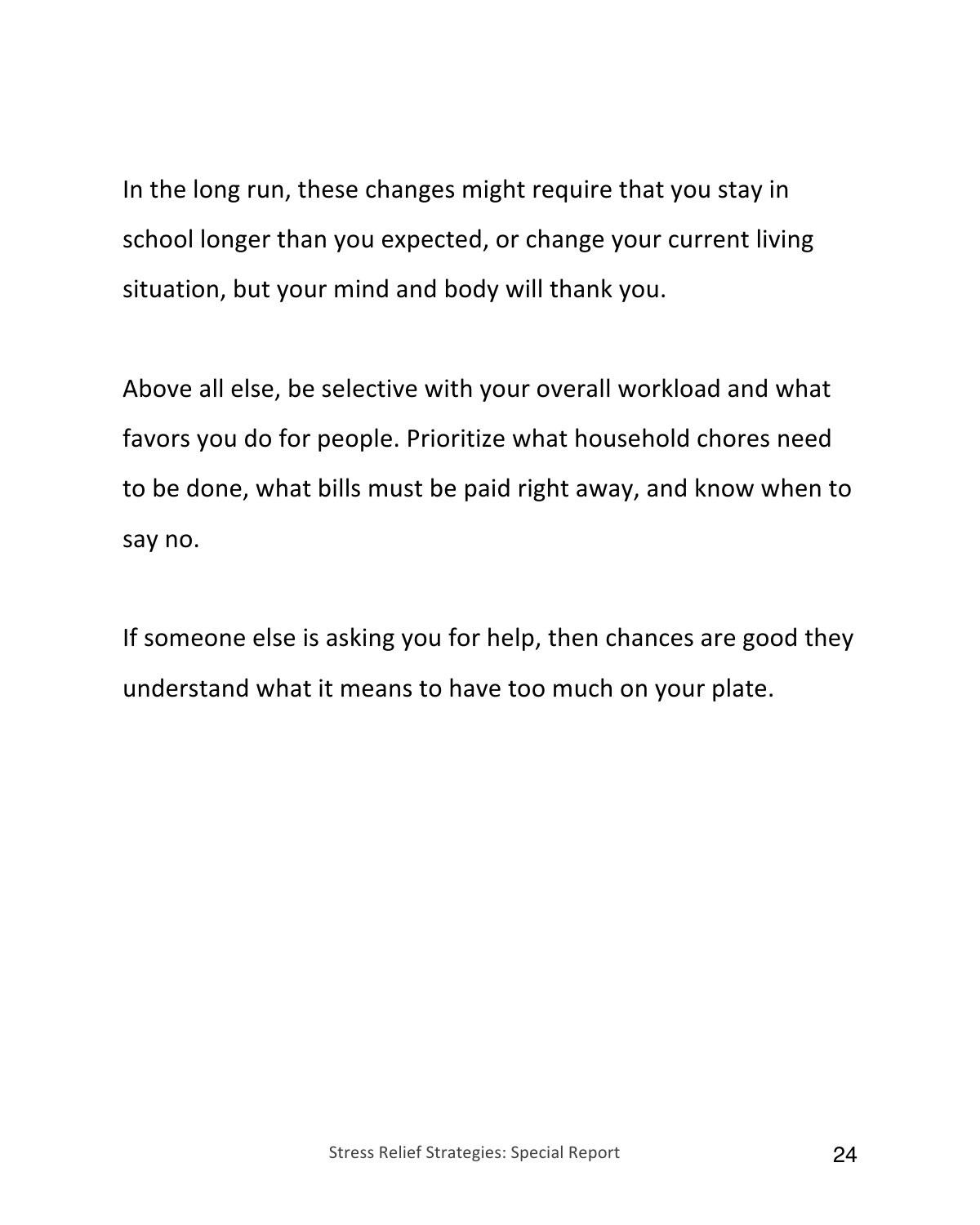In the long run, these changes might require that you stay in school longer than you expected, or change your current living situation, but your mind and body will thank you.

Above all else, be selective with your overall workload and what favors you do for people. Prioritize what household chores need to be done, what bills must be paid right away, and know when to say no.

If someone else is asking you for help, then chances are good they understand what it means to have too much on your plate.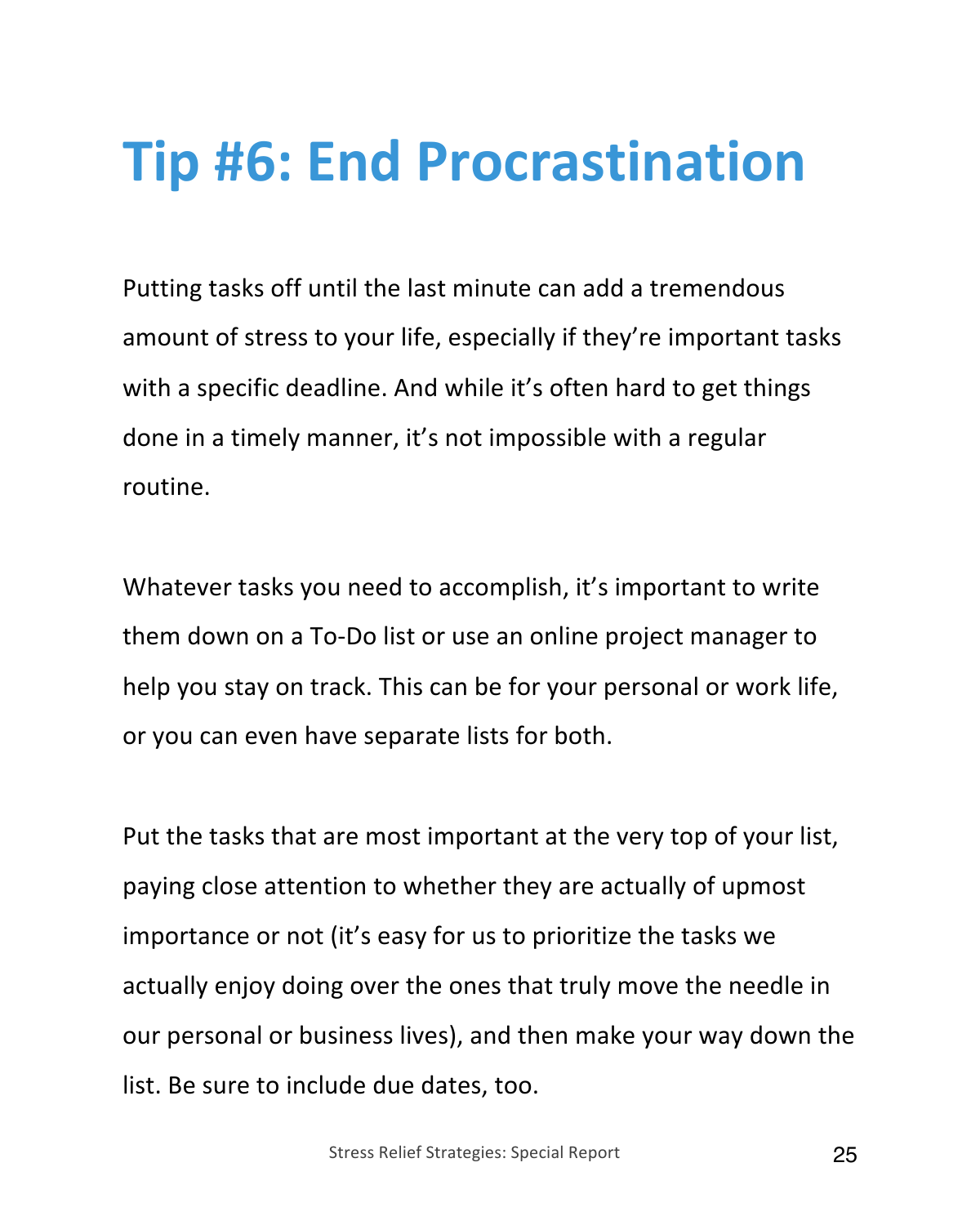#### **Tip #6: End Procrastination**

Putting tasks off until the last minute can add a tremendous amount of stress to your life, especially if they're important tasks with a specific deadline. And while it's often hard to get things done in a timely manner, it's not impossible with a regular routine.

Whatever tasks you need to accomplish, it's important to write them down on a To-Do list or use an online project manager to help you stay on track. This can be for your personal or work life, or you can even have separate lists for both.

Put the tasks that are most important at the very top of your list, paying close attention to whether they are actually of upmost importance or not (it's easy for us to prioritize the tasks we actually enjoy doing over the ones that truly move the needle in our personal or business lives), and then make your way down the list. Be sure to include due dates, too.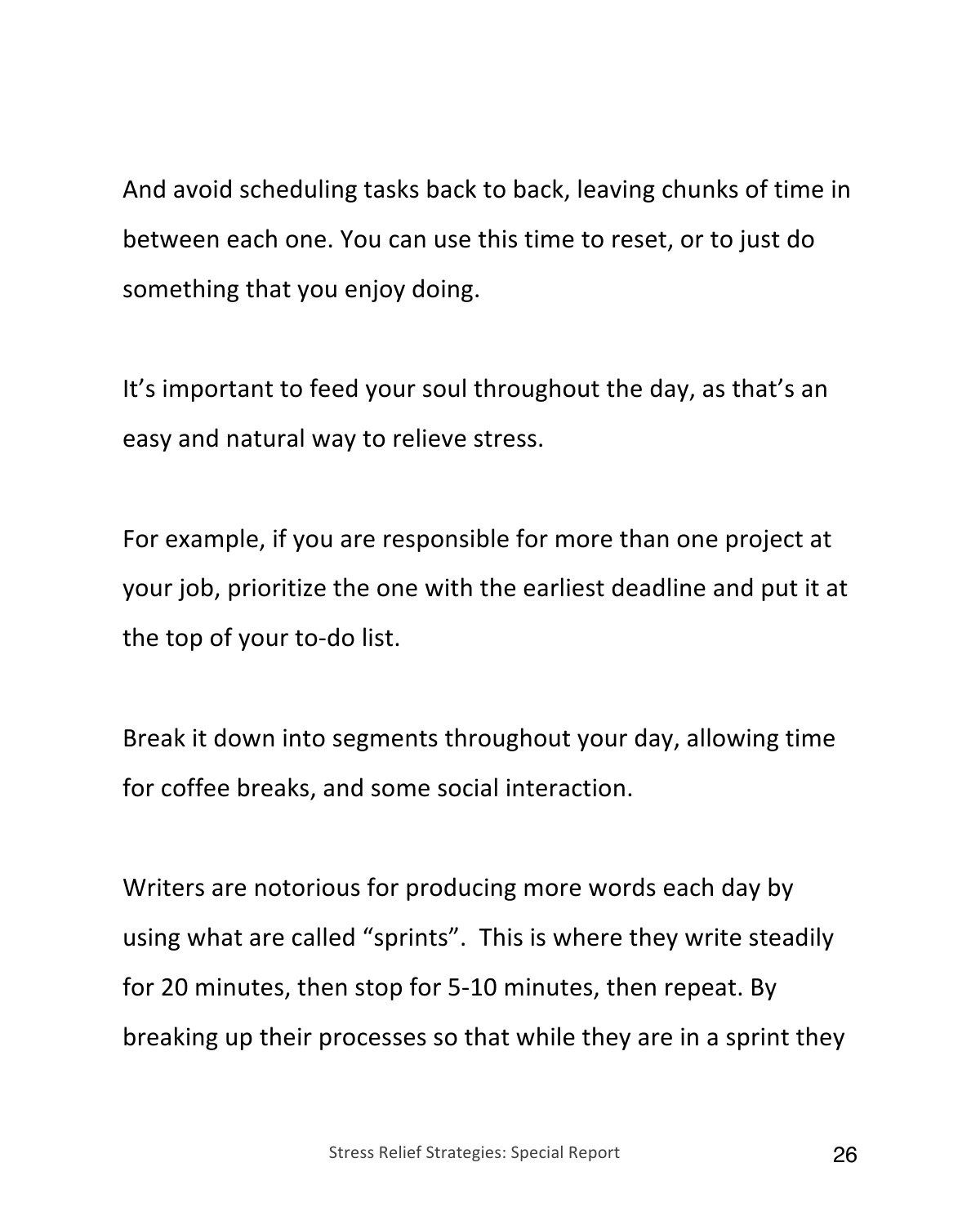And avoid scheduling tasks back to back, leaving chunks of time in between each one. You can use this time to reset, or to just do something that you enjoy doing.

It's important to feed your soul throughout the day, as that's an easy and natural way to relieve stress.

For example, if you are responsible for more than one project at your job, prioritize the one with the earliest deadline and put it at the top of your to-do list.

Break it down into segments throughout your day, allowing time for coffee breaks, and some social interaction.

Writers are notorious for producing more words each day by using what are called "sprints". This is where they write steadily for 20 minutes, then stop for 5-10 minutes, then repeat. By breaking up their processes so that while they are in a sprint they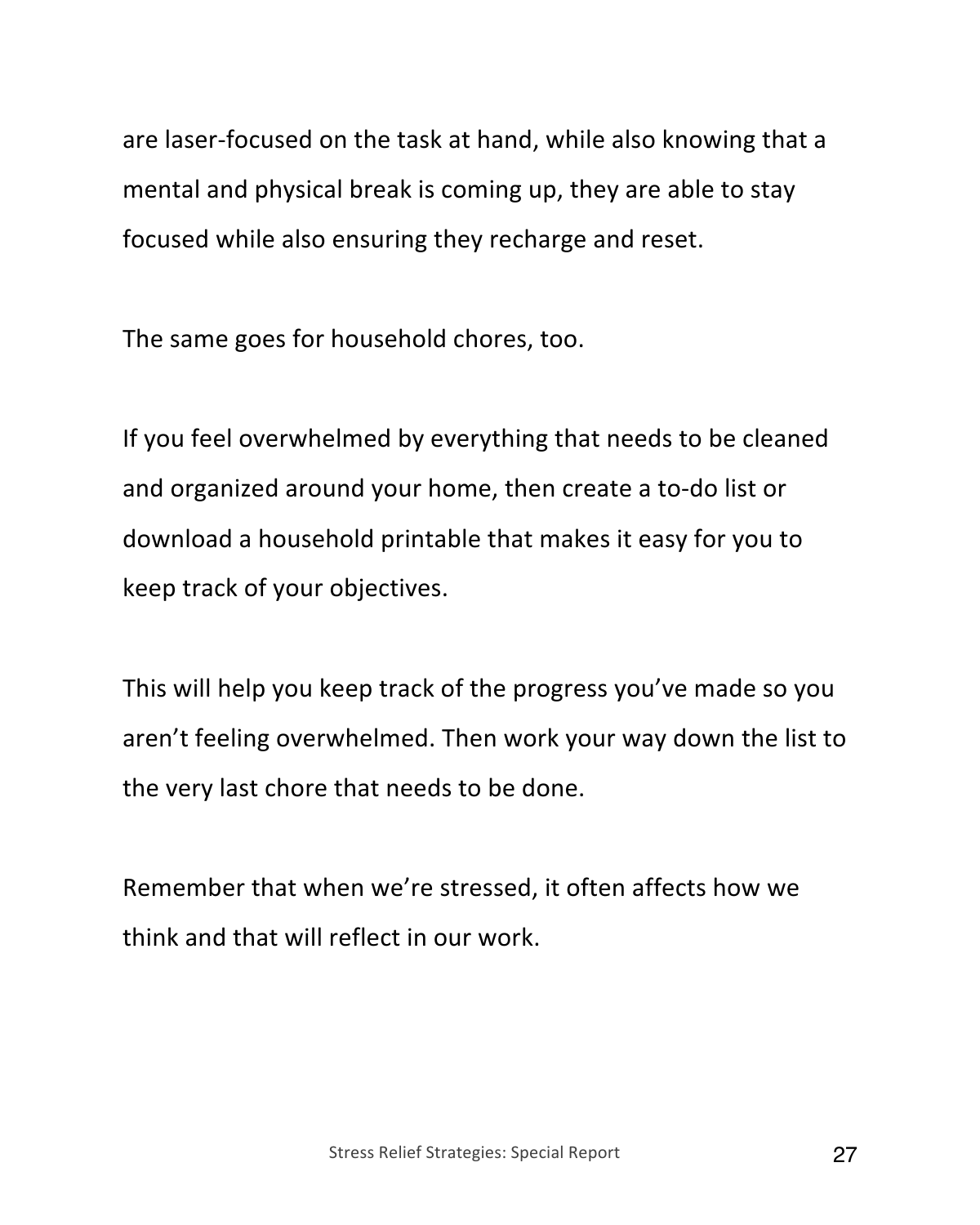are laser-focused on the task at hand, while also knowing that a mental and physical break is coming up, they are able to stay focused while also ensuring they recharge and reset.

The same goes for household chores, too.

If you feel overwhelmed by everything that needs to be cleaned and organized around your home, then create a to-do list or download a household printable that makes it easy for you to keep track of your objectives.

This will help you keep track of the progress you've made so you aren't feeling overwhelmed. Then work your way down the list to the very last chore that needs to be done.

Remember that when we're stressed, it often affects how we think and that will reflect in our work.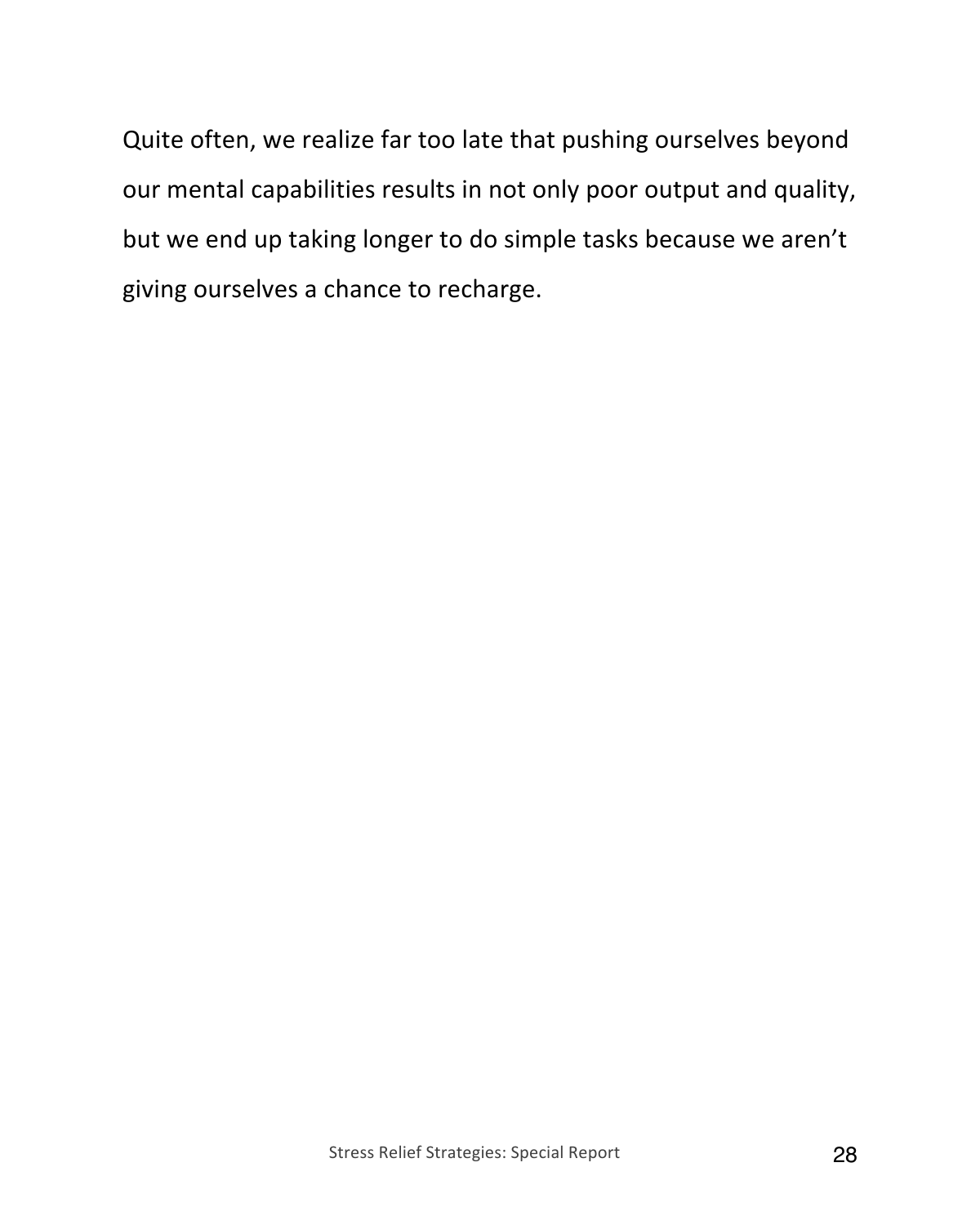Quite often, we realize far too late that pushing ourselves beyond our mental capabilities results in not only poor output and quality, but we end up taking longer to do simple tasks because we aren't giving ourselves a chance to recharge.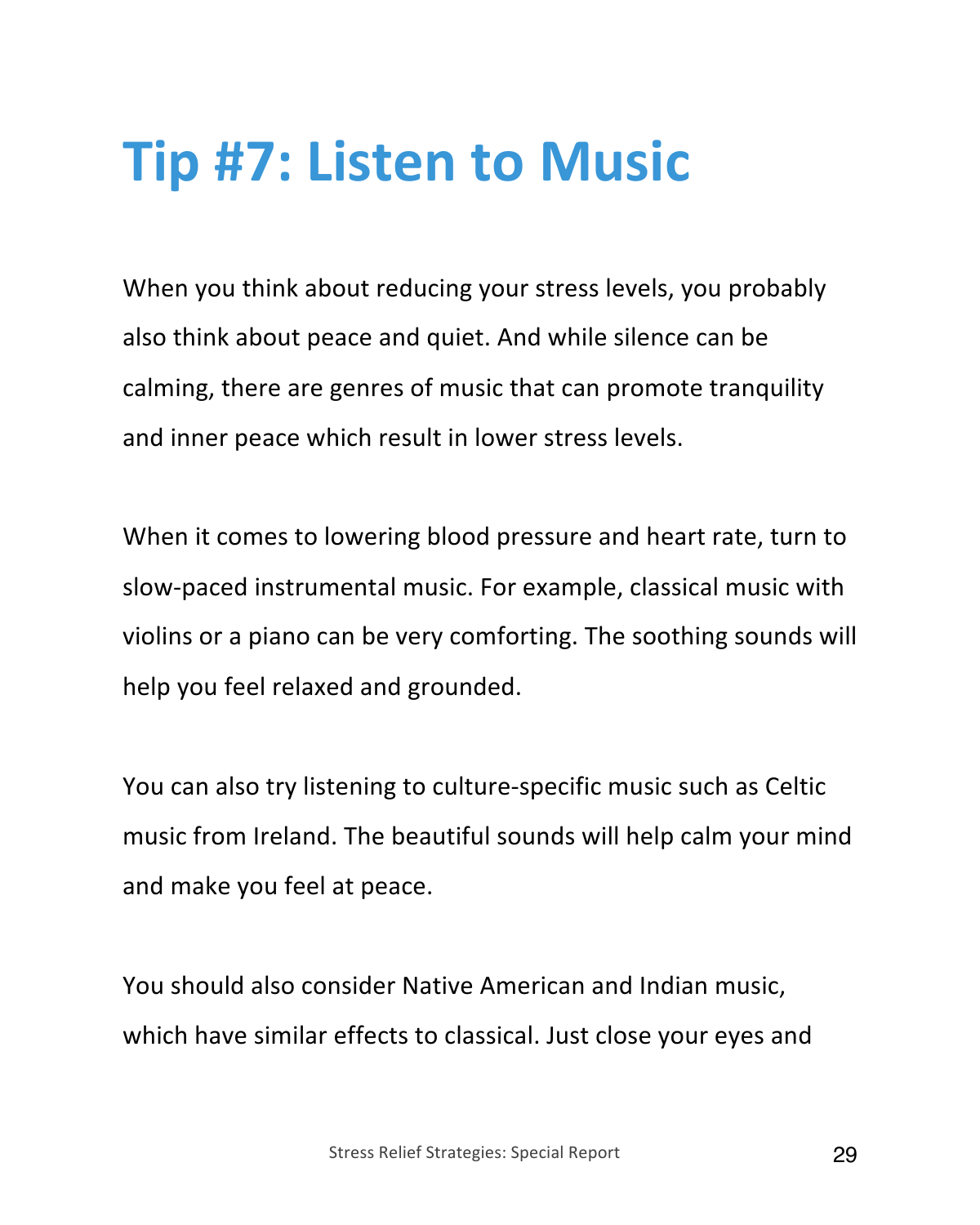#### **Tip #7: Listen to Music**

When you think about reducing your stress levels, you probably also think about peace and quiet. And while silence can be calming, there are genres of music that can promote tranquility and inner peace which result in lower stress levels.

When it comes to lowering blood pressure and heart rate, turn to slow-paced instrumental music. For example, classical music with violins or a piano can be very comforting. The soothing sounds will help you feel relaxed and grounded.

You can also try listening to culture-specific music such as Celtic music from Ireland. The beautiful sounds will help calm your mind and make you feel at peace.

You should also consider Native American and Indian music, which have similar effects to classical. Just close your eyes and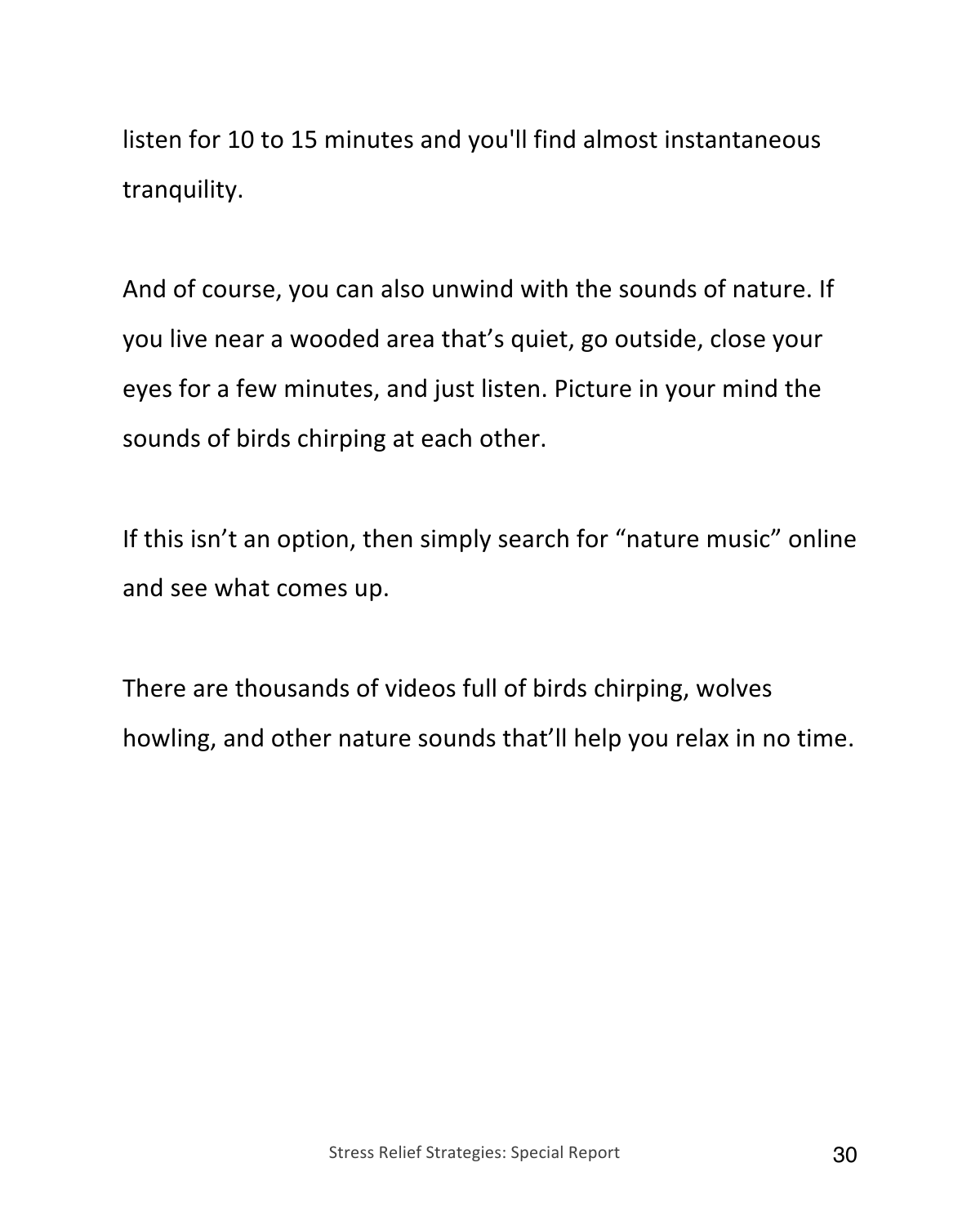listen for 10 to 15 minutes and you'll find almost instantaneous tranquility.

And of course, you can also unwind with the sounds of nature. If you live near a wooded area that's quiet, go outside, close your eyes for a few minutes, and just listen. Picture in your mind the sounds of birds chirping at each other.

If this isn't an option, then simply search for "nature music" online and see what comes up.

There are thousands of videos full of birds chirping, wolves howling, and other nature sounds that'll help you relax in no time.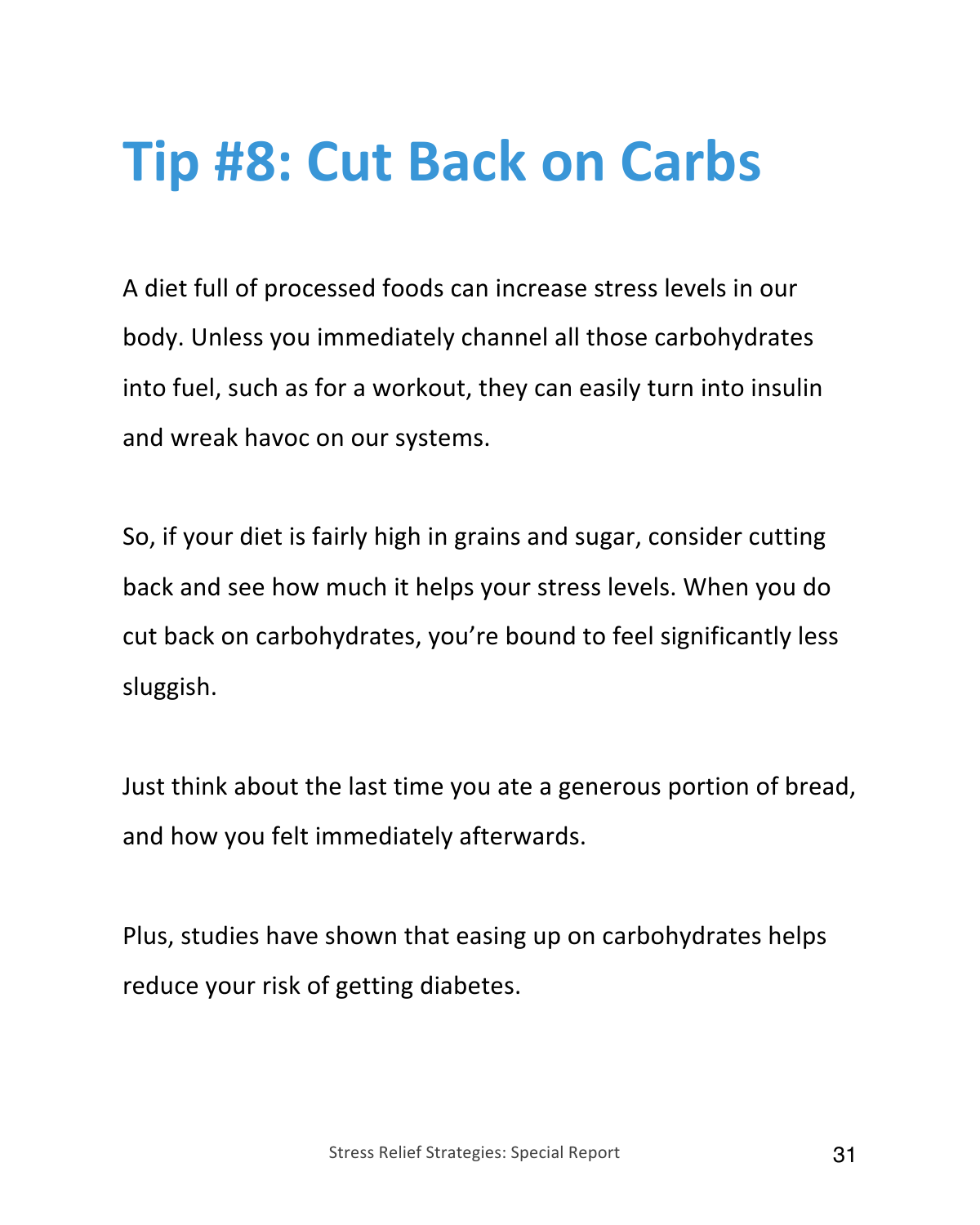#### **Tip #8: Cut Back on Carbs**

A diet full of processed foods can increase stress levels in our body. Unless you immediately channel all those carbohydrates into fuel, such as for a workout, they can easily turn into insulin and wreak havoc on our systems.

So, if your diet is fairly high in grains and sugar, consider cutting back and see how much it helps your stress levels. When you do cut back on carbohydrates, you're bound to feel significantly less sluggish.

Just think about the last time you ate a generous portion of bread, and how you felt immediately afterwards.

Plus, studies have shown that easing up on carbohydrates helps reduce your risk of getting diabetes.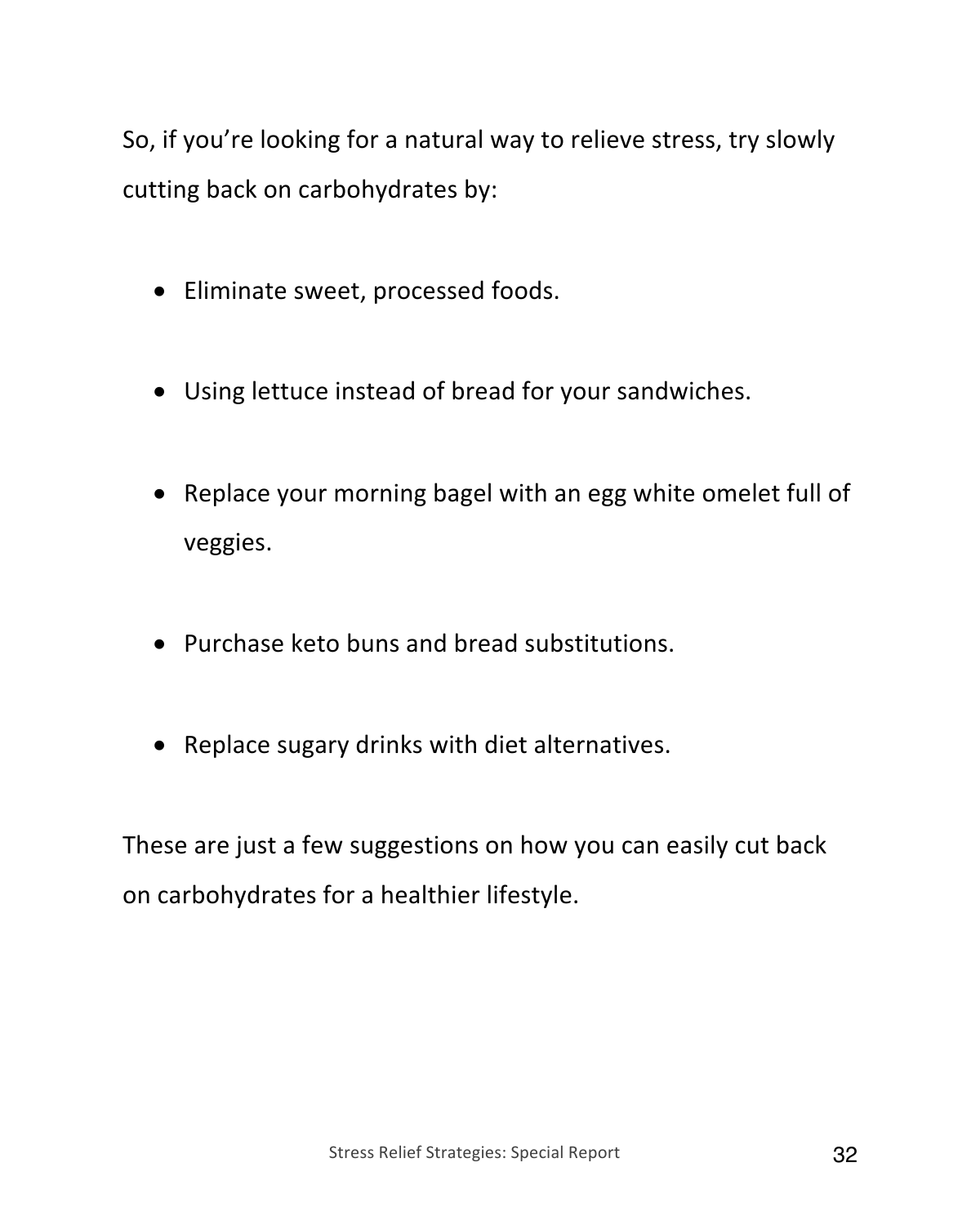So, if you're looking for a natural way to relieve stress, try slowly cutting back on carbohydrates by:

- Eliminate sweet, processed foods.
- Using lettuce instead of bread for your sandwiches.
- Replace your morning bagel with an egg white omelet full of veggies.
- Purchase keto buns and bread substitutions.
- Replace sugary drinks with diet alternatives.

These are just a few suggestions on how you can easily cut back on carbohydrates for a healthier lifestyle.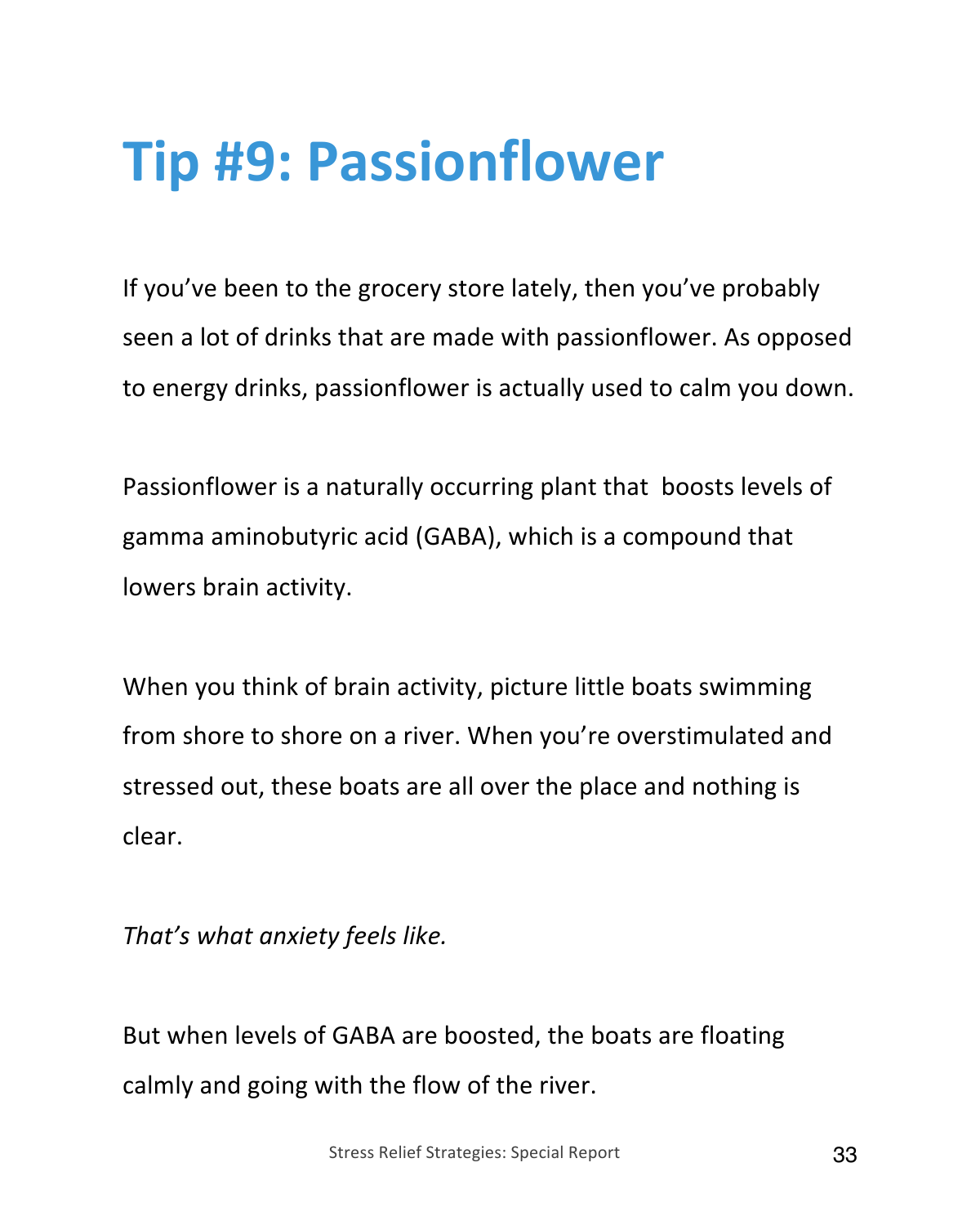#### **Tip #9: Passionflower**

If you've been to the grocery store lately, then you've probably seen a lot of drinks that are made with passionflower. As opposed to energy drinks, passionflower is actually used to calm you down.

Passionflower is a naturally occurring plant that boosts levels of gamma aminobutyric acid (GABA), which is a compound that lowers brain activity.

When you think of brain activity, picture little boats swimming from shore to shore on a river. When you're overstimulated and stressed out, these boats are all over the place and nothing is clear.

*That's what anxiety feels like.*

But when levels of GABA are boosted, the boats are floating calmly and going with the flow of the river.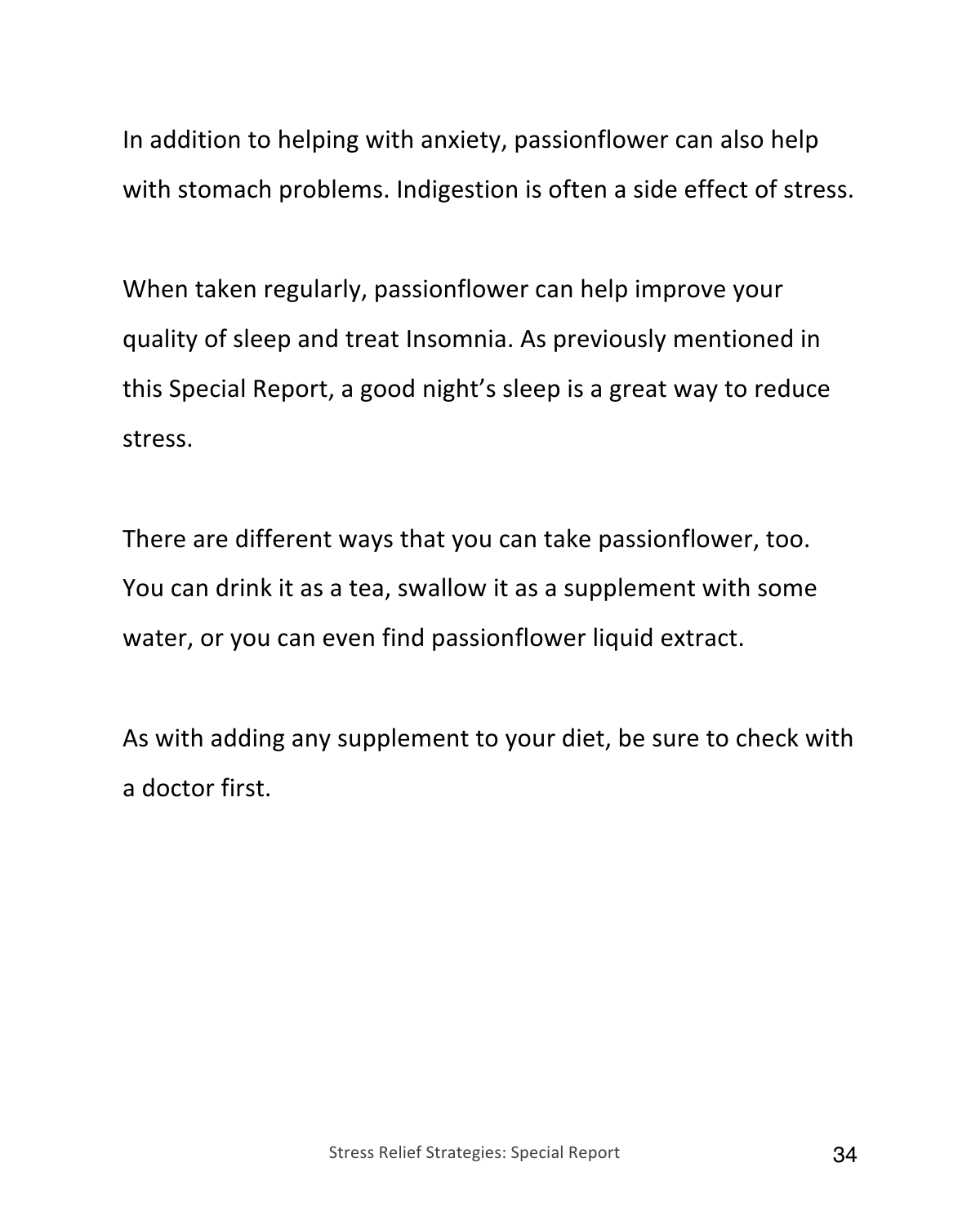In addition to helping with anxiety, passionflower can also help with stomach problems. Indigestion is often a side effect of stress.

When taken regularly, passionflower can help improve your quality of sleep and treat Insomnia. As previously mentioned in this Special Report, a good night's sleep is a great way to reduce stress.

There are different ways that you can take passionflower, too. You can drink it as a tea, swallow it as a supplement with some water, or you can even find passionflower liquid extract.

As with adding any supplement to your diet, be sure to check with a doctor first.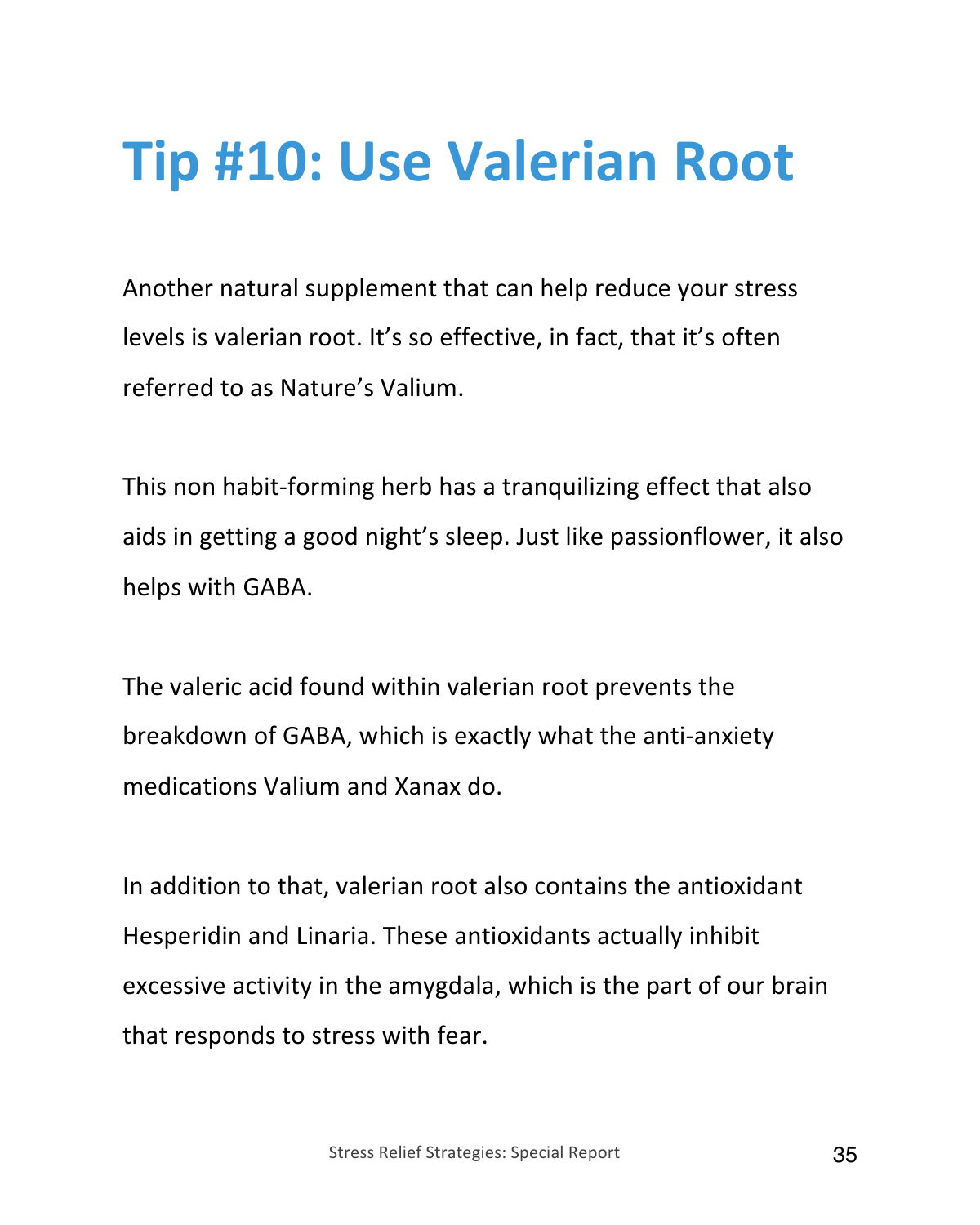#### **Tip #10: Use Valerian Root**

Another natural supplement that can help reduce your stress levels is valerian root. It's so effective, in fact, that it's often referred to as Nature's Valium.

This non habit-forming herb has a tranquilizing effect that also aids in getting a good night's sleep. Just like passionflower, it also helps with GABA.

The valeric acid found within valerian root prevents the breakdown of GABA, which is exactly what the anti-anxiety medications Valium and Xanax do.

In addition to that, valerian root also contains the antioxidant Hesperidin and Linaria. These antioxidants actually inhibit excessive activity in the amygdala, which is the part of our brain that responds to stress with fear.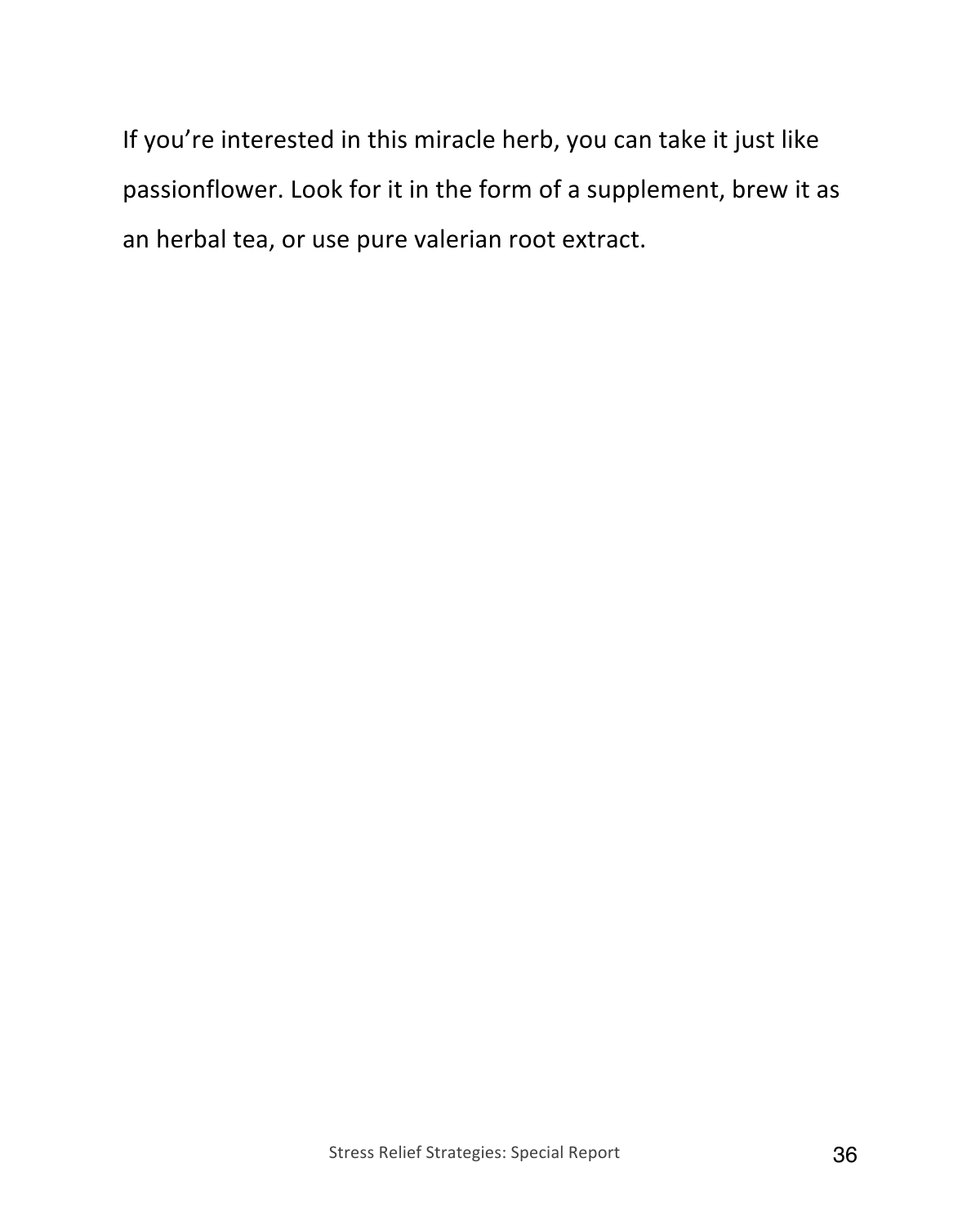If you're interested in this miracle herb, you can take it just like passionflower. Look for it in the form of a supplement, brew it as an herbal tea, or use pure valerian root extract.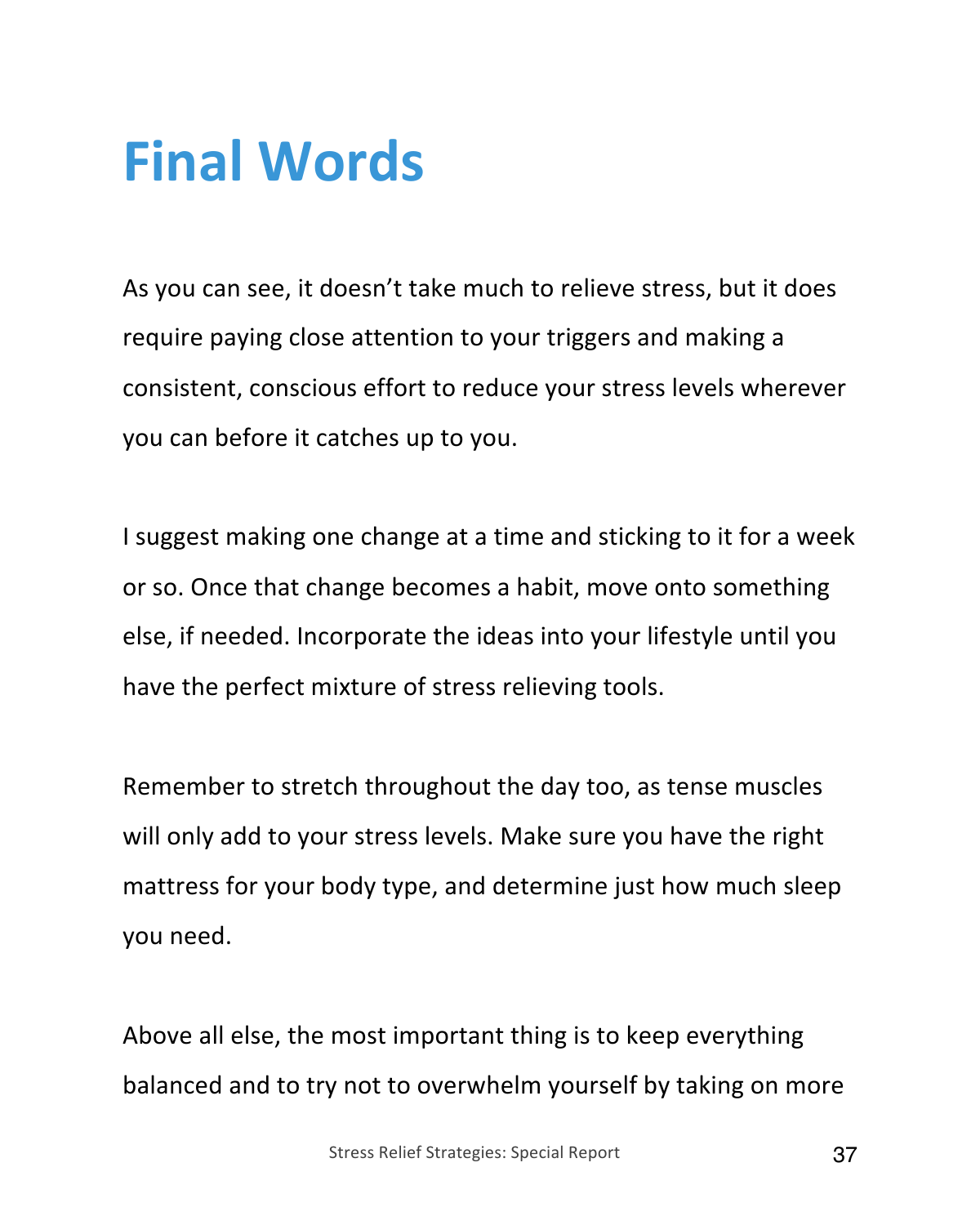#### **Final Words**

As you can see, it doesn't take much to relieve stress, but it does require paying close attention to your triggers and making a consistent, conscious effort to reduce your stress levels wherever you can before it catches up to you.

I suggest making one change at a time and sticking to it for a week or so. Once that change becomes a habit, move onto something else, if needed. Incorporate the ideas into your lifestyle until you have the perfect mixture of stress relieving tools.

Remember to stretch throughout the day too, as tense muscles will only add to your stress levels. Make sure you have the right mattress for your body type, and determine just how much sleep you need.

Above all else, the most important thing is to keep everything balanced and to try not to overwhelm yourself by taking on more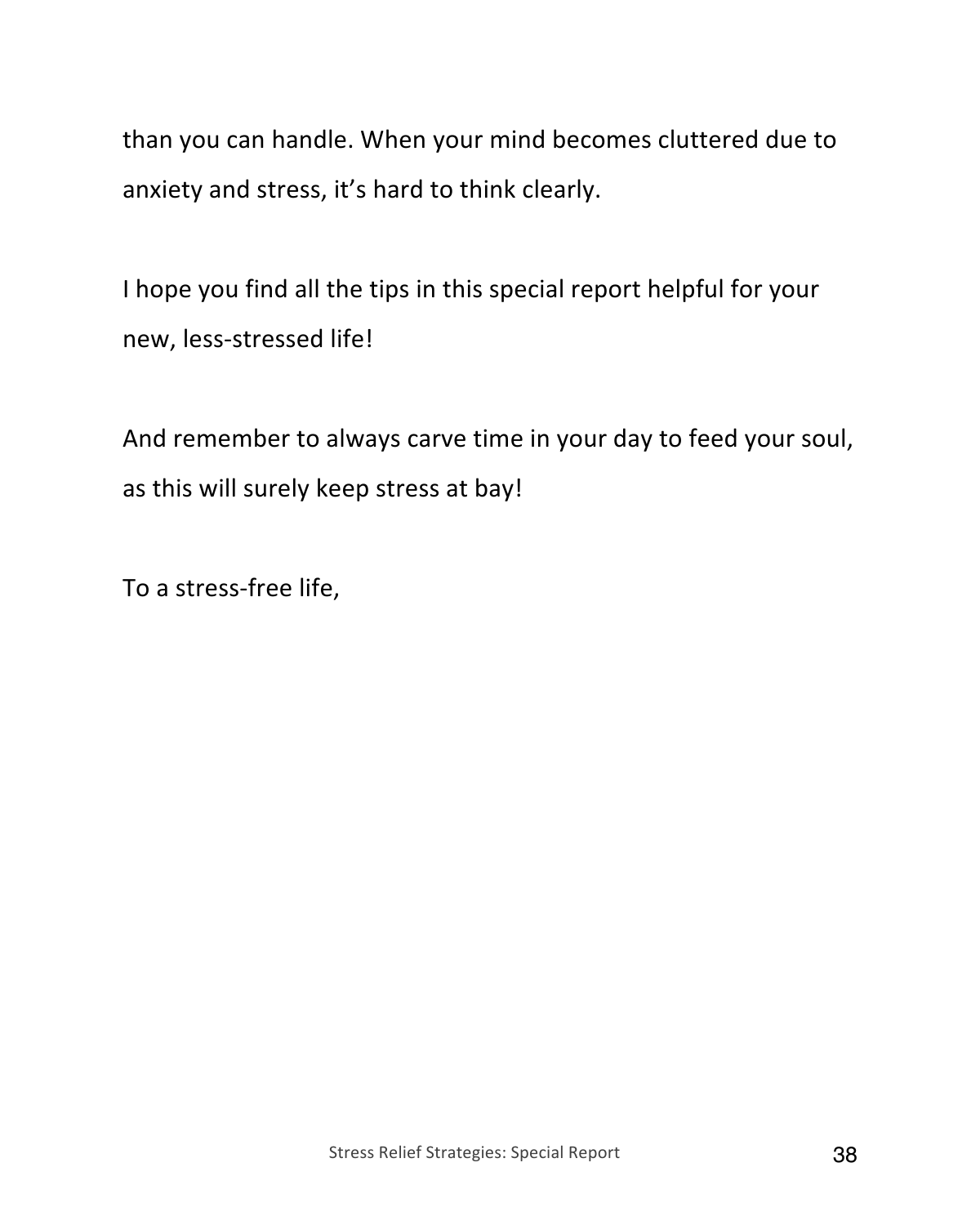than you can handle. When your mind becomes cluttered due to anxiety and stress, it's hard to think clearly.

I hope you find all the tips in this special report helpful for your new, less-stressed life!

And remember to always carve time in your day to feed your soul, as this will surely keep stress at bay!

To a stress-free life,